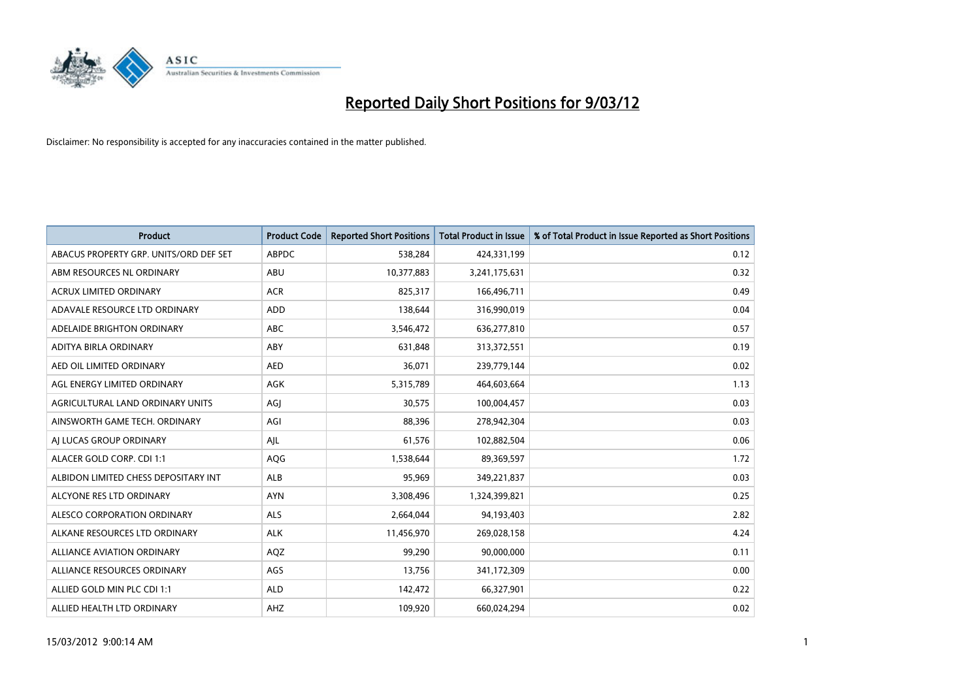

| <b>Product</b>                         | <b>Product Code</b> | <b>Reported Short Positions</b> | <b>Total Product in Issue</b> | % of Total Product in Issue Reported as Short Positions |
|----------------------------------------|---------------------|---------------------------------|-------------------------------|---------------------------------------------------------|
| ABACUS PROPERTY GRP. UNITS/ORD DEF SET | <b>ABPDC</b>        | 538,284                         | 424,331,199                   | 0.12                                                    |
| ABM RESOURCES NL ORDINARY              | ABU                 | 10,377,883                      | 3,241,175,631                 | 0.32                                                    |
| <b>ACRUX LIMITED ORDINARY</b>          | <b>ACR</b>          | 825,317                         | 166,496,711                   | 0.49                                                    |
| ADAVALE RESOURCE LTD ORDINARY          | <b>ADD</b>          | 138,644                         | 316,990,019                   | 0.04                                                    |
| ADELAIDE BRIGHTON ORDINARY             | <b>ABC</b>          | 3,546,472                       | 636,277,810                   | 0.57                                                    |
| ADITYA BIRLA ORDINARY                  | ABY                 | 631,848                         | 313,372,551                   | 0.19                                                    |
| AED OIL LIMITED ORDINARY               | <b>AED</b>          | 36,071                          | 239,779,144                   | 0.02                                                    |
| AGL ENERGY LIMITED ORDINARY            | AGK                 | 5,315,789                       | 464,603,664                   | 1.13                                                    |
| AGRICULTURAL LAND ORDINARY UNITS       | AGJ                 | 30,575                          | 100,004,457                   | 0.03                                                    |
| AINSWORTH GAME TECH. ORDINARY          | AGI                 | 88,396                          | 278,942,304                   | 0.03                                                    |
| AI LUCAS GROUP ORDINARY                | AJL                 | 61,576                          | 102,882,504                   | 0.06                                                    |
| ALACER GOLD CORP. CDI 1:1              | AQG                 | 1,538,644                       | 89,369,597                    | 1.72                                                    |
| ALBIDON LIMITED CHESS DEPOSITARY INT   | ALB                 | 95,969                          | 349,221,837                   | 0.03                                                    |
| ALCYONE RES LTD ORDINARY               | <b>AYN</b>          | 3,308,496                       | 1,324,399,821                 | 0.25                                                    |
| ALESCO CORPORATION ORDINARY            | <b>ALS</b>          | 2,664,044                       | 94,193,403                    | 2.82                                                    |
| ALKANE RESOURCES LTD ORDINARY          | <b>ALK</b>          | 11,456,970                      | 269,028,158                   | 4.24                                                    |
| ALLIANCE AVIATION ORDINARY             | AQZ                 | 99,290                          | 90,000,000                    | 0.11                                                    |
| ALLIANCE RESOURCES ORDINARY            | AGS                 | 13,756                          | 341,172,309                   | 0.00                                                    |
| ALLIED GOLD MIN PLC CDI 1:1            | <b>ALD</b>          | 142,472                         | 66,327,901                    | 0.22                                                    |
| ALLIED HEALTH LTD ORDINARY             | AHZ                 | 109,920                         | 660,024,294                   | 0.02                                                    |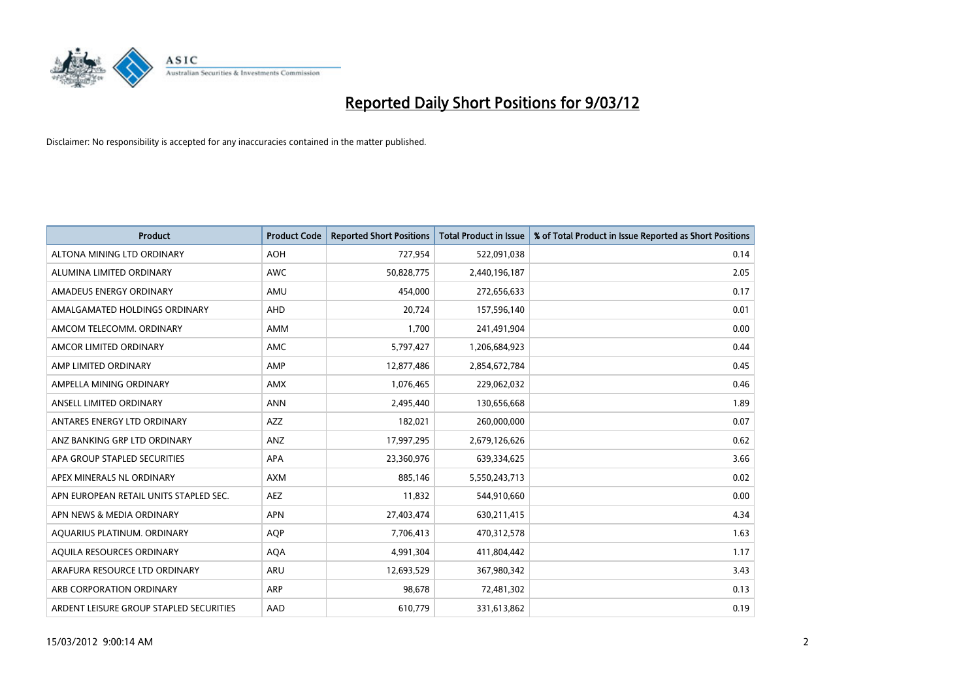

| <b>Product</b>                          | <b>Product Code</b> | <b>Reported Short Positions</b> | <b>Total Product in Issue</b> | % of Total Product in Issue Reported as Short Positions |
|-----------------------------------------|---------------------|---------------------------------|-------------------------------|---------------------------------------------------------|
| ALTONA MINING LTD ORDINARY              | <b>AOH</b>          | 727,954                         | 522,091,038                   | 0.14                                                    |
| ALUMINA LIMITED ORDINARY                | <b>AWC</b>          | 50,828,775                      | 2,440,196,187                 | 2.05                                                    |
| AMADEUS ENERGY ORDINARY                 | AMU                 | 454,000                         | 272,656,633                   | 0.17                                                    |
| AMALGAMATED HOLDINGS ORDINARY           | AHD                 | 20,724                          | 157,596,140                   | 0.01                                                    |
| AMCOM TELECOMM, ORDINARY                | AMM                 | 1,700                           | 241,491,904                   | 0.00                                                    |
| AMCOR LIMITED ORDINARY                  | AMC                 | 5,797,427                       | 1,206,684,923                 | 0.44                                                    |
| AMP LIMITED ORDINARY                    | AMP                 | 12,877,486                      | 2,854,672,784                 | 0.45                                                    |
| AMPELLA MINING ORDINARY                 | AMX                 | 1,076,465                       | 229,062,032                   | 0.46                                                    |
| ANSELL LIMITED ORDINARY                 | <b>ANN</b>          | 2,495,440                       | 130,656,668                   | 1.89                                                    |
| ANTARES ENERGY LTD ORDINARY             | AZZ                 | 182,021                         | 260,000,000                   | 0.07                                                    |
| ANZ BANKING GRP LTD ORDINARY            | ANZ                 | 17,997,295                      | 2,679,126,626                 | 0.62                                                    |
| APA GROUP STAPLED SECURITIES            | <b>APA</b>          | 23,360,976                      | 639,334,625                   | 3.66                                                    |
| APEX MINERALS NL ORDINARY               | <b>AXM</b>          | 885,146                         | 5,550,243,713                 | 0.02                                                    |
| APN EUROPEAN RETAIL UNITS STAPLED SEC.  | AEZ                 | 11,832                          | 544,910,660                   | 0.00                                                    |
| APN NEWS & MEDIA ORDINARY               | <b>APN</b>          | 27,403,474                      | 630,211,415                   | 4.34                                                    |
| AQUARIUS PLATINUM. ORDINARY             | <b>AOP</b>          | 7,706,413                       | 470,312,578                   | 1.63                                                    |
| AQUILA RESOURCES ORDINARY               | <b>AQA</b>          | 4,991,304                       | 411,804,442                   | 1.17                                                    |
| ARAFURA RESOURCE LTD ORDINARY           | ARU                 | 12,693,529                      | 367,980,342                   | 3.43                                                    |
| ARB CORPORATION ORDINARY                | <b>ARP</b>          | 98,678                          | 72,481,302                    | 0.13                                                    |
| ARDENT LEISURE GROUP STAPLED SECURITIES | AAD                 | 610,779                         | 331,613,862                   | 0.19                                                    |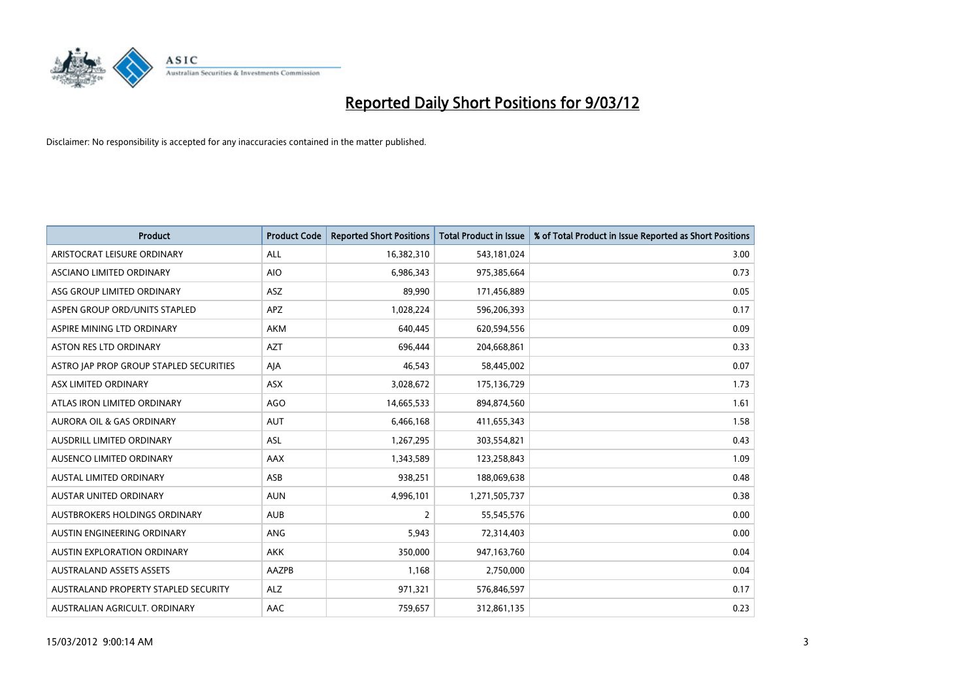

| <b>Product</b>                          | <b>Product Code</b> | <b>Reported Short Positions</b> | <b>Total Product in Issue</b> | % of Total Product in Issue Reported as Short Positions |
|-----------------------------------------|---------------------|---------------------------------|-------------------------------|---------------------------------------------------------|
| ARISTOCRAT LEISURE ORDINARY             | ALL                 | 16,382,310                      | 543,181,024                   | 3.00                                                    |
| ASCIANO LIMITED ORDINARY                | <b>AIO</b>          | 6,986,343                       | 975,385,664                   | 0.73                                                    |
| ASG GROUP LIMITED ORDINARY              | ASZ                 | 89,990                          | 171,456,889                   | 0.05                                                    |
| ASPEN GROUP ORD/UNITS STAPLED           | <b>APZ</b>          | 1,028,224                       | 596,206,393                   | 0.17                                                    |
| ASPIRE MINING LTD ORDINARY              | AKM                 | 640,445                         | 620,594,556                   | 0.09                                                    |
| <b>ASTON RES LTD ORDINARY</b>           | <b>AZT</b>          | 696,444                         | 204,668,861                   | 0.33                                                    |
| ASTRO JAP PROP GROUP STAPLED SECURITIES | AJA                 | 46,543                          | 58,445,002                    | 0.07                                                    |
| ASX LIMITED ORDINARY                    | ASX                 | 3,028,672                       | 175,136,729                   | 1.73                                                    |
| ATLAS IRON LIMITED ORDINARY             | <b>AGO</b>          | 14,665,533                      | 894,874,560                   | 1.61                                                    |
| AURORA OIL & GAS ORDINARY               | <b>AUT</b>          | 6,466,168                       | 411,655,343                   | 1.58                                                    |
| AUSDRILL LIMITED ORDINARY               | ASL                 | 1,267,295                       | 303,554,821                   | 0.43                                                    |
| AUSENCO LIMITED ORDINARY                | AAX                 | 1,343,589                       | 123,258,843                   | 1.09                                                    |
| <b>AUSTAL LIMITED ORDINARY</b>          | ASB                 | 938,251                         | 188,069,638                   | 0.48                                                    |
| <b>AUSTAR UNITED ORDINARY</b>           | <b>AUN</b>          | 4,996,101                       | 1,271,505,737                 | 0.38                                                    |
| AUSTBROKERS HOLDINGS ORDINARY           | <b>AUB</b>          | $\overline{2}$                  | 55,545,576                    | 0.00                                                    |
| AUSTIN ENGINEERING ORDINARY             | ANG                 | 5,943                           | 72,314,403                    | 0.00                                                    |
| AUSTIN EXPLORATION ORDINARY             | <b>AKK</b>          | 350,000                         | 947,163,760                   | 0.04                                                    |
| <b>AUSTRALAND ASSETS ASSETS</b>         | AAZPB               | 1,168                           | 2,750,000                     | 0.04                                                    |
| AUSTRALAND PROPERTY STAPLED SECURITY    | <b>ALZ</b>          | 971,321                         | 576,846,597                   | 0.17                                                    |
| AUSTRALIAN AGRICULT. ORDINARY           | AAC                 | 759,657                         | 312,861,135                   | 0.23                                                    |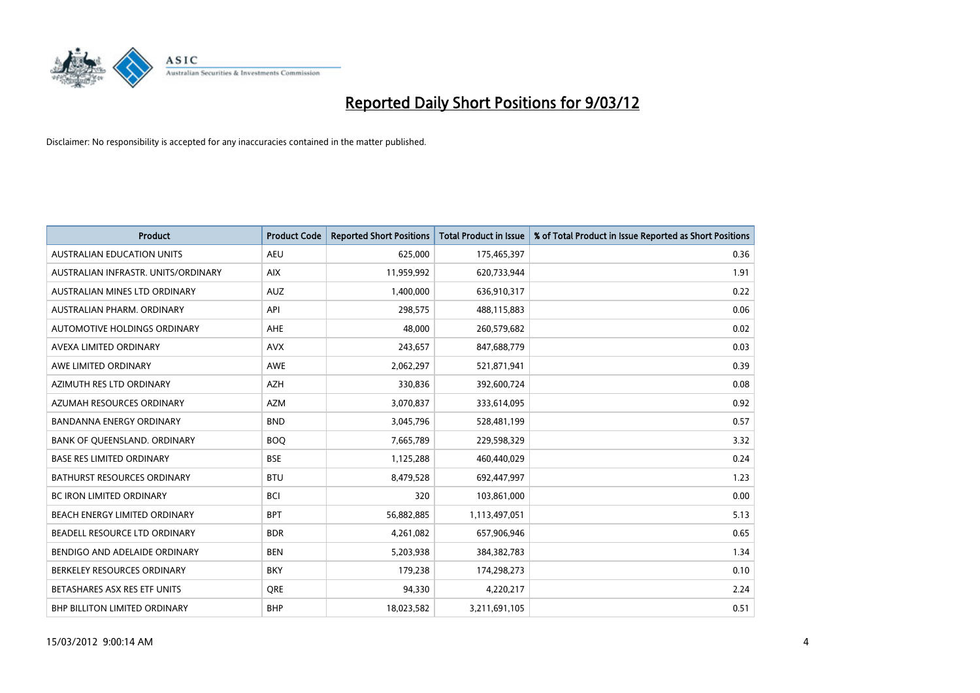

| <b>Product</b>                      | <b>Product Code</b> | <b>Reported Short Positions</b> | <b>Total Product in Issue</b> | % of Total Product in Issue Reported as Short Positions |
|-------------------------------------|---------------------|---------------------------------|-------------------------------|---------------------------------------------------------|
| <b>AUSTRALIAN EDUCATION UNITS</b>   | <b>AEU</b>          | 625,000                         | 175,465,397                   | 0.36                                                    |
| AUSTRALIAN INFRASTR. UNITS/ORDINARY | <b>AIX</b>          | 11,959,992                      | 620,733,944                   | 1.91                                                    |
| AUSTRALIAN MINES LTD ORDINARY       | <b>AUZ</b>          | 1,400,000                       | 636,910,317                   | 0.22                                                    |
| AUSTRALIAN PHARM. ORDINARY          | API                 | 298,575                         | 488,115,883                   | 0.06                                                    |
| AUTOMOTIVE HOLDINGS ORDINARY        | AHE                 | 48,000                          | 260,579,682                   | 0.02                                                    |
| AVEXA LIMITED ORDINARY              | <b>AVX</b>          | 243,657                         | 847,688,779                   | 0.03                                                    |
| AWE LIMITED ORDINARY                | <b>AWE</b>          | 2,062,297                       | 521,871,941                   | 0.39                                                    |
| AZIMUTH RES LTD ORDINARY            | <b>AZH</b>          | 330,836                         | 392,600,724                   | 0.08                                                    |
| AZUMAH RESOURCES ORDINARY           | <b>AZM</b>          | 3,070,837                       | 333,614,095                   | 0.92                                                    |
| <b>BANDANNA ENERGY ORDINARY</b>     | <b>BND</b>          | 3,045,796                       | 528,481,199                   | 0.57                                                    |
| BANK OF QUEENSLAND. ORDINARY        | <b>BOQ</b>          | 7,665,789                       | 229,598,329                   | 3.32                                                    |
| <b>BASE RES LIMITED ORDINARY</b>    | <b>BSE</b>          | 1,125,288                       | 460,440,029                   | 0.24                                                    |
| BATHURST RESOURCES ORDINARY         | <b>BTU</b>          | 8,479,528                       | 692,447,997                   | 1.23                                                    |
| <b>BC IRON LIMITED ORDINARY</b>     | <b>BCI</b>          | 320                             | 103,861,000                   | 0.00                                                    |
| BEACH ENERGY LIMITED ORDINARY       | <b>BPT</b>          | 56,882,885                      | 1,113,497,051                 | 5.13                                                    |
| BEADELL RESOURCE LTD ORDINARY       | <b>BDR</b>          | 4,261,082                       | 657,906,946                   | 0.65                                                    |
| BENDIGO AND ADELAIDE ORDINARY       | <b>BEN</b>          | 5,203,938                       | 384, 382, 783                 | 1.34                                                    |
| BERKELEY RESOURCES ORDINARY         | <b>BKY</b>          | 179,238                         | 174,298,273                   | 0.10                                                    |
| BETASHARES ASX RES ETF UNITS        | <b>ORE</b>          | 94,330                          | 4,220,217                     | 2.24                                                    |
| BHP BILLITON LIMITED ORDINARY       | <b>BHP</b>          | 18,023,582                      | 3,211,691,105                 | 0.51                                                    |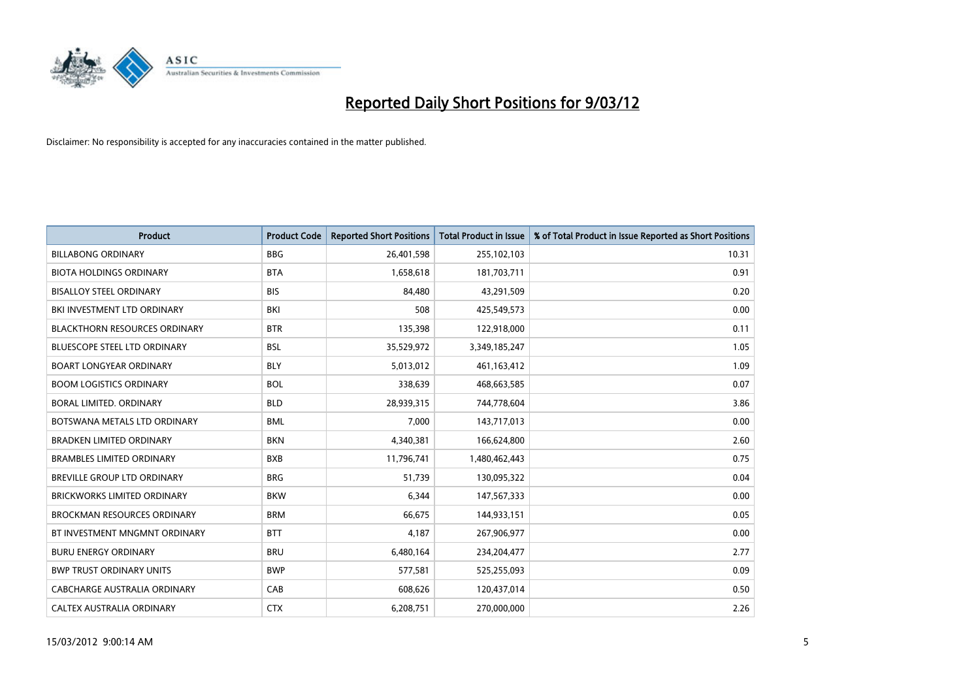

| <b>Product</b>                       | <b>Product Code</b> | <b>Reported Short Positions</b> | <b>Total Product in Issue</b> | % of Total Product in Issue Reported as Short Positions |
|--------------------------------------|---------------------|---------------------------------|-------------------------------|---------------------------------------------------------|
| <b>BILLABONG ORDINARY</b>            | <b>BBG</b>          | 26,401,598                      | 255,102,103                   | 10.31                                                   |
| <b>BIOTA HOLDINGS ORDINARY</b>       | <b>BTA</b>          | 1,658,618                       | 181,703,711                   | 0.91                                                    |
| <b>BISALLOY STEEL ORDINARY</b>       | <b>BIS</b>          | 84,480                          | 43,291,509                    | 0.20                                                    |
| BKI INVESTMENT LTD ORDINARY          | BKI                 | 508                             | 425,549,573                   | 0.00                                                    |
| <b>BLACKTHORN RESOURCES ORDINARY</b> | <b>BTR</b>          | 135,398                         | 122,918,000                   | 0.11                                                    |
| <b>BLUESCOPE STEEL LTD ORDINARY</b>  | <b>BSL</b>          | 35,529,972                      | 3,349,185,247                 | 1.05                                                    |
| <b>BOART LONGYEAR ORDINARY</b>       | <b>BLY</b>          | 5,013,012                       | 461,163,412                   | 1.09                                                    |
| <b>BOOM LOGISTICS ORDINARY</b>       | <b>BOL</b>          | 338,639                         | 468,663,585                   | 0.07                                                    |
| <b>BORAL LIMITED, ORDINARY</b>       | <b>BLD</b>          | 28,939,315                      | 744,778,604                   | 3.86                                                    |
| BOTSWANA METALS LTD ORDINARY         | <b>BML</b>          | 7,000                           | 143,717,013                   | 0.00                                                    |
| <b>BRADKEN LIMITED ORDINARY</b>      | <b>BKN</b>          | 4,340,381                       | 166,624,800                   | 2.60                                                    |
| <b>BRAMBLES LIMITED ORDINARY</b>     | <b>BXB</b>          | 11,796,741                      | 1,480,462,443                 | 0.75                                                    |
| <b>BREVILLE GROUP LTD ORDINARY</b>   | <b>BRG</b>          | 51.739                          | 130,095,322                   | 0.04                                                    |
| <b>BRICKWORKS LIMITED ORDINARY</b>   | <b>BKW</b>          | 6,344                           | 147,567,333                   | 0.00                                                    |
| <b>BROCKMAN RESOURCES ORDINARY</b>   | <b>BRM</b>          | 66,675                          | 144,933,151                   | 0.05                                                    |
| BT INVESTMENT MNGMNT ORDINARY        | <b>BTT</b>          | 4,187                           | 267,906,977                   | 0.00                                                    |
| <b>BURU ENERGY ORDINARY</b>          | <b>BRU</b>          | 6,480,164                       | 234,204,477                   | 2.77                                                    |
| <b>BWP TRUST ORDINARY UNITS</b>      | <b>BWP</b>          | 577,581                         | 525,255,093                   | 0.09                                                    |
| <b>CABCHARGE AUSTRALIA ORDINARY</b>  | CAB                 | 608,626                         | 120,437,014                   | 0.50                                                    |
| CALTEX AUSTRALIA ORDINARY            | <b>CTX</b>          | 6,208,751                       | 270,000,000                   | 2.26                                                    |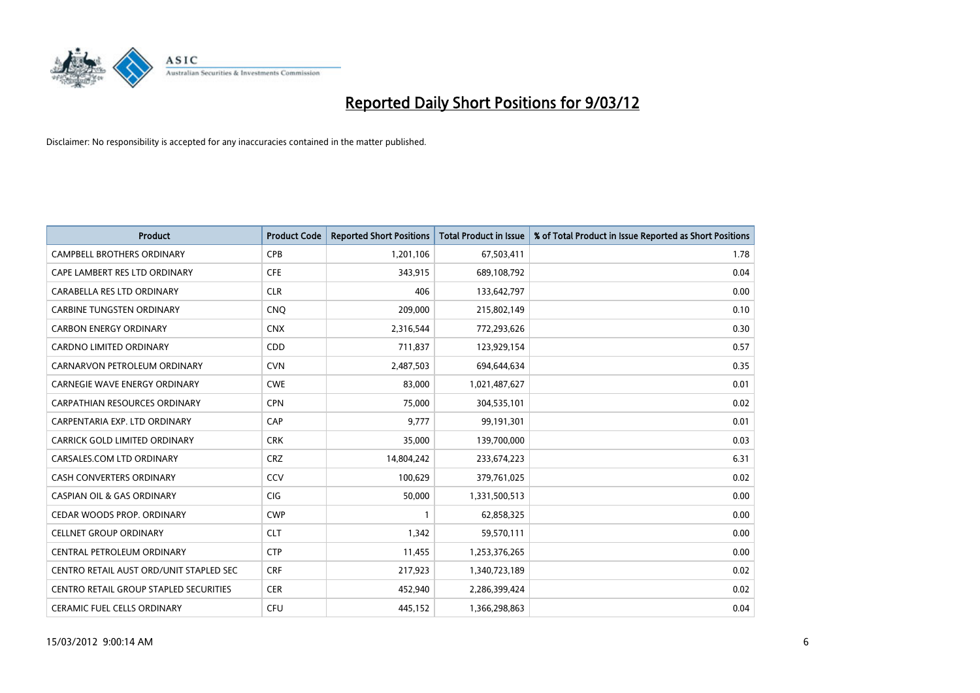

| <b>Product</b>                                | <b>Product Code</b> | <b>Reported Short Positions</b> | <b>Total Product in Issue</b> | % of Total Product in Issue Reported as Short Positions |
|-----------------------------------------------|---------------------|---------------------------------|-------------------------------|---------------------------------------------------------|
| <b>CAMPBELL BROTHERS ORDINARY</b>             | <b>CPB</b>          | 1,201,106                       | 67,503,411                    | 1.78                                                    |
| CAPE LAMBERT RES LTD ORDINARY                 | <b>CFE</b>          | 343,915                         | 689,108,792                   | 0.04                                                    |
| CARABELLA RES LTD ORDINARY                    | <b>CLR</b>          | 406                             | 133,642,797                   | 0.00                                                    |
| <b>CARBINE TUNGSTEN ORDINARY</b>              | <b>CNO</b>          | 209,000                         | 215,802,149                   | 0.10                                                    |
| <b>CARBON ENERGY ORDINARY</b>                 | <b>CNX</b>          | 2,316,544                       | 772,293,626                   | 0.30                                                    |
| <b>CARDNO LIMITED ORDINARY</b>                | CDD                 | 711,837                         | 123,929,154                   | 0.57                                                    |
| CARNARVON PETROLEUM ORDINARY                  | <b>CVN</b>          | 2,487,503                       | 694,644,634                   | 0.35                                                    |
| CARNEGIE WAVE ENERGY ORDINARY                 | <b>CWE</b>          | 83,000                          | 1,021,487,627                 | 0.01                                                    |
| CARPATHIAN RESOURCES ORDINARY                 | <b>CPN</b>          | 75,000                          | 304,535,101                   | 0.02                                                    |
| CARPENTARIA EXP. LTD ORDINARY                 | CAP                 | 9.777                           | 99,191,301                    | 0.01                                                    |
| CARRICK GOLD LIMITED ORDINARY                 | <b>CRK</b>          | 35,000                          | 139,700,000                   | 0.03                                                    |
| CARSALES.COM LTD ORDINARY                     | <b>CRZ</b>          | 14,804,242                      | 233,674,223                   | 6.31                                                    |
| <b>CASH CONVERTERS ORDINARY</b>               | CCV                 | 100.629                         | 379,761,025                   | 0.02                                                    |
| <b>CASPIAN OIL &amp; GAS ORDINARY</b>         | <b>CIG</b>          | 50.000                          | 1,331,500,513                 | 0.00                                                    |
| CEDAR WOODS PROP. ORDINARY                    | <b>CWP</b>          | $\mathbf{1}$                    | 62,858,325                    | 0.00                                                    |
| <b>CELLNET GROUP ORDINARY</b>                 | <b>CLT</b>          | 1,342                           | 59,570,111                    | 0.00                                                    |
| CENTRAL PETROLEUM ORDINARY                    | <b>CTP</b>          | 11,455                          | 1,253,376,265                 | 0.00                                                    |
| CENTRO RETAIL AUST ORD/UNIT STAPLED SEC       | <b>CRF</b>          | 217,923                         | 1,340,723,189                 | 0.02                                                    |
| <b>CENTRO RETAIL GROUP STAPLED SECURITIES</b> | <b>CER</b>          | 452,940                         | 2,286,399,424                 | 0.02                                                    |
| <b>CERAMIC FUEL CELLS ORDINARY</b>            | <b>CFU</b>          | 445.152                         | 1,366,298,863                 | 0.04                                                    |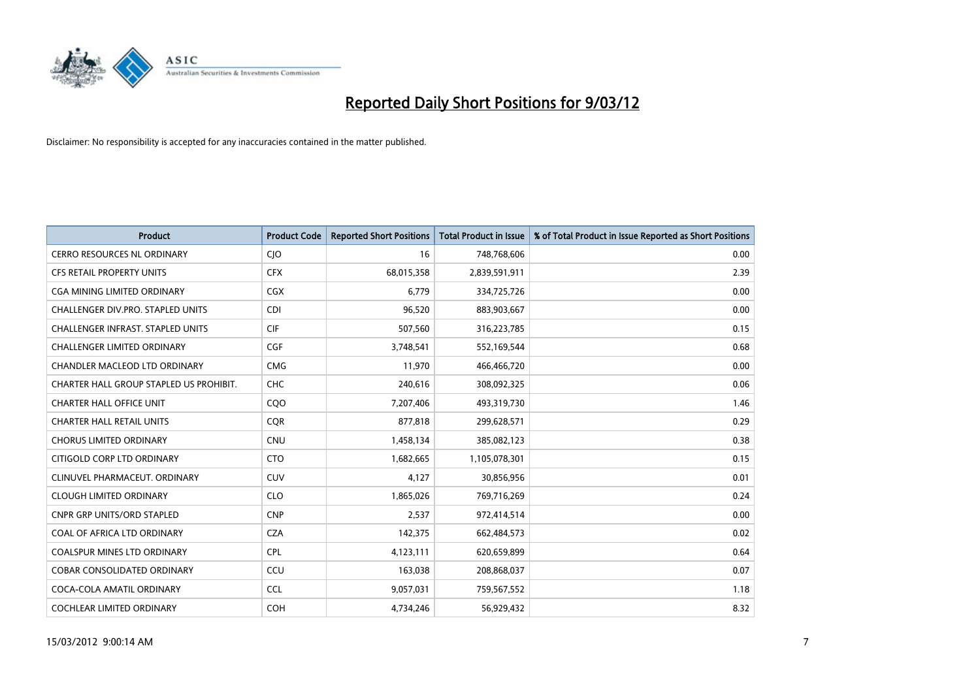

| <b>Product</b>                           | <b>Product Code</b> | <b>Reported Short Positions</b> | <b>Total Product in Issue</b> | % of Total Product in Issue Reported as Short Positions |
|------------------------------------------|---------------------|---------------------------------|-------------------------------|---------------------------------------------------------|
| <b>CERRO RESOURCES NL ORDINARY</b>       | CJO                 | 16                              | 748,768,606                   | 0.00                                                    |
| CFS RETAIL PROPERTY UNITS                | <b>CFX</b>          | 68,015,358                      | 2,839,591,911                 | 2.39                                                    |
| <b>CGA MINING LIMITED ORDINARY</b>       | <b>CGX</b>          | 6.779                           | 334,725,726                   | 0.00                                                    |
| CHALLENGER DIV.PRO. STAPLED UNITS        | <b>CDI</b>          | 96,520                          | 883,903,667                   | 0.00                                                    |
| <b>CHALLENGER INFRAST, STAPLED UNITS</b> | <b>CIF</b>          | 507,560                         | 316,223,785                   | 0.15                                                    |
| <b>CHALLENGER LIMITED ORDINARY</b>       | <b>CGF</b>          | 3,748,541                       | 552,169,544                   | 0.68                                                    |
| CHANDLER MACLEOD LTD ORDINARY            | <b>CMG</b>          | 11,970                          | 466,466,720                   | 0.00                                                    |
| CHARTER HALL GROUP STAPLED US PROHIBIT.  | <b>CHC</b>          | 240,616                         | 308,092,325                   | 0.06                                                    |
| <b>CHARTER HALL OFFICE UNIT</b>          | CQ <sub>O</sub>     | 7,207,406                       | 493,319,730                   | 1.46                                                    |
| <b>CHARTER HALL RETAIL UNITS</b>         | <b>COR</b>          | 877,818                         | 299,628,571                   | 0.29                                                    |
| <b>CHORUS LIMITED ORDINARY</b>           | <b>CNU</b>          | 1,458,134                       | 385,082,123                   | 0.38                                                    |
| CITIGOLD CORP LTD ORDINARY               | <b>CTO</b>          | 1,682,665                       | 1,105,078,301                 | 0.15                                                    |
| CLINUVEL PHARMACEUT. ORDINARY            | CUV                 | 4,127                           | 30,856,956                    | 0.01                                                    |
| <b>CLOUGH LIMITED ORDINARY</b>           | <b>CLO</b>          | 1,865,026                       | 769,716,269                   | 0.24                                                    |
| <b>CNPR GRP UNITS/ORD STAPLED</b>        | <b>CNP</b>          | 2,537                           | 972,414,514                   | 0.00                                                    |
| COAL OF AFRICA LTD ORDINARY              | <b>CZA</b>          | 142,375                         | 662,484,573                   | 0.02                                                    |
| COALSPUR MINES LTD ORDINARY              | <b>CPL</b>          | 4,123,111                       | 620,659,899                   | 0.64                                                    |
| COBAR CONSOLIDATED ORDINARY              | CCU                 | 163,038                         | 208,868,037                   | 0.07                                                    |
| COCA-COLA AMATIL ORDINARY                | <b>CCL</b>          | 9,057,031                       | 759,567,552                   | 1.18                                                    |
| COCHLEAR LIMITED ORDINARY                | <b>COH</b>          | 4,734,246                       | 56,929,432                    | 8.32                                                    |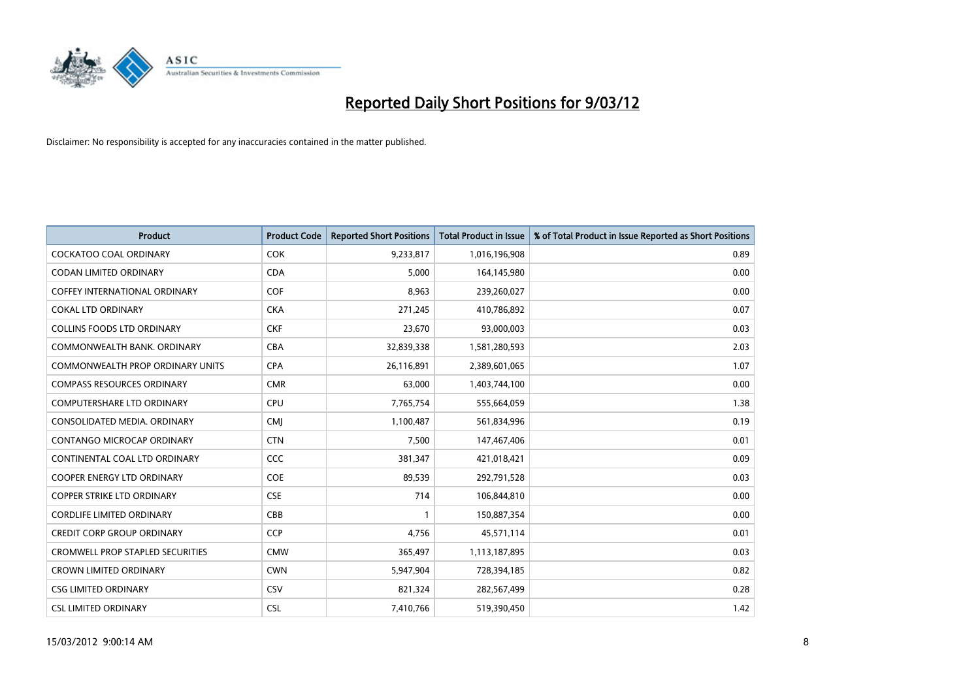

| <b>Product</b>                          | <b>Product Code</b> | <b>Reported Short Positions</b> | <b>Total Product in Issue</b> | % of Total Product in Issue Reported as Short Positions |
|-----------------------------------------|---------------------|---------------------------------|-------------------------------|---------------------------------------------------------|
| <b>COCKATOO COAL ORDINARY</b>           | <b>COK</b>          | 9,233,817                       | 1,016,196,908                 | 0.89                                                    |
| <b>CODAN LIMITED ORDINARY</b>           | <b>CDA</b>          | 5,000                           | 164,145,980                   | 0.00                                                    |
| <b>COFFEY INTERNATIONAL ORDINARY</b>    | <b>COF</b>          | 8,963                           | 239,260,027                   | 0.00                                                    |
| <b>COKAL LTD ORDINARY</b>               | <b>CKA</b>          | 271,245                         | 410,786,892                   | 0.07                                                    |
| <b>COLLINS FOODS LTD ORDINARY</b>       | <b>CKF</b>          | 23,670                          | 93,000,003                    | 0.03                                                    |
| COMMONWEALTH BANK, ORDINARY             | <b>CBA</b>          | 32,839,338                      | 1,581,280,593                 | 2.03                                                    |
| <b>COMMONWEALTH PROP ORDINARY UNITS</b> | <b>CPA</b>          | 26,116,891                      | 2,389,601,065                 | 1.07                                                    |
| <b>COMPASS RESOURCES ORDINARY</b>       | <b>CMR</b>          | 63,000                          | 1,403,744,100                 | 0.00                                                    |
| COMPUTERSHARE LTD ORDINARY              | <b>CPU</b>          | 7,765,754                       | 555,664,059                   | 1.38                                                    |
| CONSOLIDATED MEDIA, ORDINARY            | <b>CMI</b>          | 1,100,487                       | 561,834,996                   | 0.19                                                    |
| CONTANGO MICROCAP ORDINARY              | <b>CTN</b>          | 7,500                           | 147,467,406                   | 0.01                                                    |
| CONTINENTAL COAL LTD ORDINARY           | <b>CCC</b>          | 381,347                         | 421,018,421                   | 0.09                                                    |
| <b>COOPER ENERGY LTD ORDINARY</b>       | <b>COE</b>          | 89,539                          | 292,791,528                   | 0.03                                                    |
| <b>COPPER STRIKE LTD ORDINARY</b>       | <b>CSE</b>          | 714                             | 106,844,810                   | 0.00                                                    |
| <b>CORDLIFE LIMITED ORDINARY</b>        | CBB                 | $\mathbf{1}$                    | 150,887,354                   | 0.00                                                    |
| <b>CREDIT CORP GROUP ORDINARY</b>       | <b>CCP</b>          | 4,756                           | 45,571,114                    | 0.01                                                    |
| <b>CROMWELL PROP STAPLED SECURITIES</b> | <b>CMW</b>          | 365,497                         | 1,113,187,895                 | 0.03                                                    |
| <b>CROWN LIMITED ORDINARY</b>           | <b>CWN</b>          | 5,947,904                       | 728,394,185                   | 0.82                                                    |
| <b>CSG LIMITED ORDINARY</b>             | CSV                 | 821,324                         | 282,567,499                   | 0.28                                                    |
| <b>CSL LIMITED ORDINARY</b>             | <b>CSL</b>          | 7,410,766                       | 519,390,450                   | 1.42                                                    |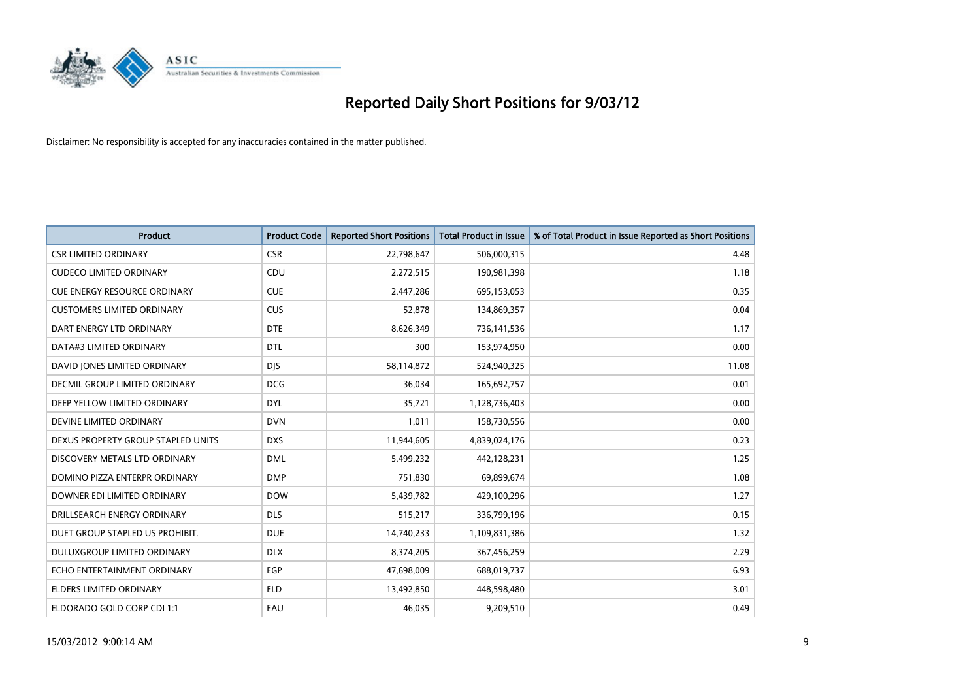

| <b>Product</b>                      | <b>Product Code</b> | <b>Reported Short Positions</b> | <b>Total Product in Issue</b> | % of Total Product in Issue Reported as Short Positions |
|-------------------------------------|---------------------|---------------------------------|-------------------------------|---------------------------------------------------------|
| <b>CSR LIMITED ORDINARY</b>         | <b>CSR</b>          | 22,798,647                      | 506,000,315                   | 4.48                                                    |
| <b>CUDECO LIMITED ORDINARY</b>      | CDU                 | 2,272,515                       | 190,981,398                   | 1.18                                                    |
| <b>CUE ENERGY RESOURCE ORDINARY</b> | <b>CUE</b>          | 2,447,286                       | 695,153,053                   | 0.35                                                    |
| <b>CUSTOMERS LIMITED ORDINARY</b>   | <b>CUS</b>          | 52,878                          | 134,869,357                   | 0.04                                                    |
| DART ENERGY LTD ORDINARY            | <b>DTE</b>          | 8,626,349                       | 736,141,536                   | 1.17                                                    |
| DATA#3 LIMITED ORDINARY             | <b>DTL</b>          | 300                             | 153,974,950                   | 0.00                                                    |
| DAVID JONES LIMITED ORDINARY        | <b>DJS</b>          | 58,114,872                      | 524,940,325                   | 11.08                                                   |
| DECMIL GROUP LIMITED ORDINARY       | <b>DCG</b>          | 36,034                          | 165,692,757                   | 0.01                                                    |
| DEEP YELLOW LIMITED ORDINARY        | <b>DYL</b>          | 35,721                          | 1,128,736,403                 | 0.00                                                    |
| DEVINE LIMITED ORDINARY             | <b>DVN</b>          | 1,011                           | 158,730,556                   | 0.00                                                    |
| DEXUS PROPERTY GROUP STAPLED UNITS  | <b>DXS</b>          | 11,944,605                      | 4,839,024,176                 | 0.23                                                    |
| DISCOVERY METALS LTD ORDINARY       | <b>DML</b>          | 5,499,232                       | 442,128,231                   | 1.25                                                    |
| DOMINO PIZZA ENTERPR ORDINARY       | <b>DMP</b>          | 751,830                         | 69,899,674                    | 1.08                                                    |
| DOWNER EDI LIMITED ORDINARY         | <b>DOW</b>          | 5,439,782                       | 429,100,296                   | 1.27                                                    |
| DRILLSEARCH ENERGY ORDINARY         | <b>DLS</b>          | 515,217                         | 336,799,196                   | 0.15                                                    |
| DUET GROUP STAPLED US PROHIBIT.     | <b>DUE</b>          | 14,740,233                      | 1,109,831,386                 | 1.32                                                    |
| DULUXGROUP LIMITED ORDINARY         | <b>DLX</b>          | 8,374,205                       | 367,456,259                   | 2.29                                                    |
| ECHO ENTERTAINMENT ORDINARY         | <b>EGP</b>          | 47,698,009                      | 688,019,737                   | 6.93                                                    |
| <b>ELDERS LIMITED ORDINARY</b>      | <b>ELD</b>          | 13,492,850                      | 448,598,480                   | 3.01                                                    |
| ELDORADO GOLD CORP CDI 1:1          | EAU                 | 46.035                          | 9,209,510                     | 0.49                                                    |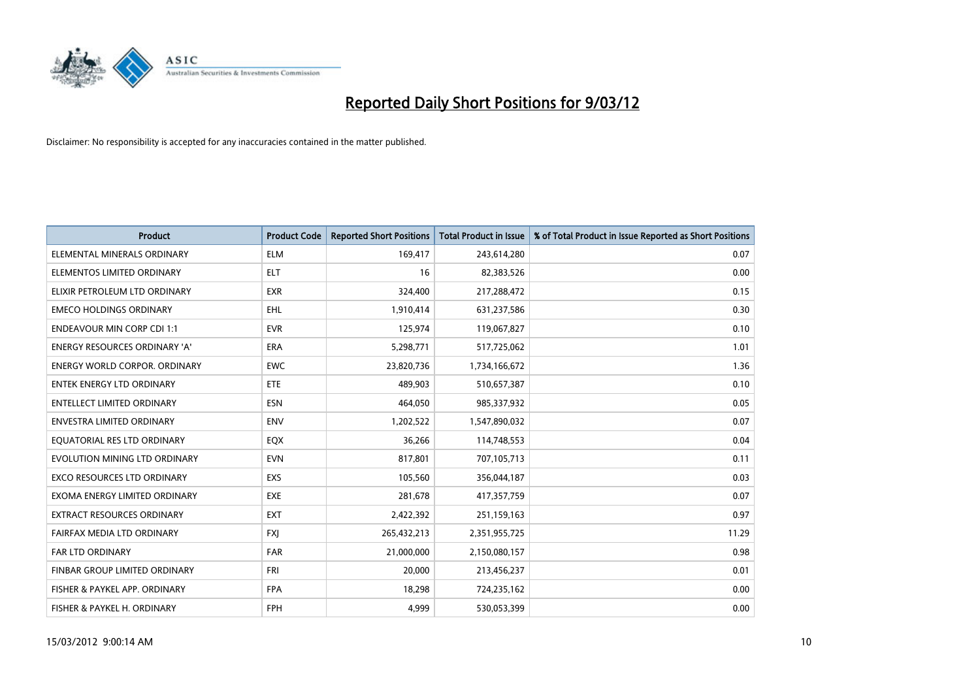

| <b>Product</b>                       | <b>Product Code</b> | <b>Reported Short Positions</b> | <b>Total Product in Issue</b> | % of Total Product in Issue Reported as Short Positions |
|--------------------------------------|---------------------|---------------------------------|-------------------------------|---------------------------------------------------------|
| ELEMENTAL MINERALS ORDINARY          | <b>ELM</b>          | 169,417                         | 243,614,280                   | 0.07                                                    |
| ELEMENTOS LIMITED ORDINARY           | ELT                 | 16                              | 82,383,526                    | 0.00                                                    |
| ELIXIR PETROLEUM LTD ORDINARY        | <b>EXR</b>          | 324,400                         | 217,288,472                   | 0.15                                                    |
| <b>EMECO HOLDINGS ORDINARY</b>       | <b>EHL</b>          | 1,910,414                       | 631,237,586                   | 0.30                                                    |
| <b>ENDEAVOUR MIN CORP CDI 1:1</b>    | <b>EVR</b>          | 125,974                         | 119,067,827                   | 0.10                                                    |
| <b>ENERGY RESOURCES ORDINARY 'A'</b> | <b>ERA</b>          | 5,298,771                       | 517,725,062                   | 1.01                                                    |
| <b>ENERGY WORLD CORPOR. ORDINARY</b> | <b>EWC</b>          | 23,820,736                      | 1,734,166,672                 | 1.36                                                    |
| ENTEK ENERGY LTD ORDINARY            | ETE                 | 489,903                         | 510,657,387                   | 0.10                                                    |
| <b>ENTELLECT LIMITED ORDINARY</b>    | <b>ESN</b>          | 464,050                         | 985,337,932                   | 0.05                                                    |
| <b>ENVESTRA LIMITED ORDINARY</b>     | <b>ENV</b>          | 1,202,522                       | 1,547,890,032                 | 0.07                                                    |
| EQUATORIAL RES LTD ORDINARY          | EQX                 | 36,266                          | 114,748,553                   | 0.04                                                    |
| EVOLUTION MINING LTD ORDINARY        | <b>EVN</b>          | 817,801                         | 707,105,713                   | 0.11                                                    |
| EXCO RESOURCES LTD ORDINARY          | EXS                 | 105,560                         | 356,044,187                   | 0.03                                                    |
| EXOMA ENERGY LIMITED ORDINARY        | EXE                 | 281,678                         | 417,357,759                   | 0.07                                                    |
| <b>EXTRACT RESOURCES ORDINARY</b>    | <b>EXT</b>          | 2,422,392                       | 251,159,163                   | 0.97                                                    |
| FAIRFAX MEDIA LTD ORDINARY           | <b>FXJ</b>          | 265,432,213                     | 2,351,955,725                 | 11.29                                                   |
| FAR LTD ORDINARY                     | <b>FAR</b>          | 21,000,000                      | 2,150,080,157                 | 0.98                                                    |
| FINBAR GROUP LIMITED ORDINARY        | <b>FRI</b>          | 20,000                          | 213,456,237                   | 0.01                                                    |
| FISHER & PAYKEL APP. ORDINARY        | <b>FPA</b>          | 18,298                          | 724,235,162                   | 0.00                                                    |
| FISHER & PAYKEL H. ORDINARY          | <b>FPH</b>          | 4,999                           | 530,053,399                   | 0.00                                                    |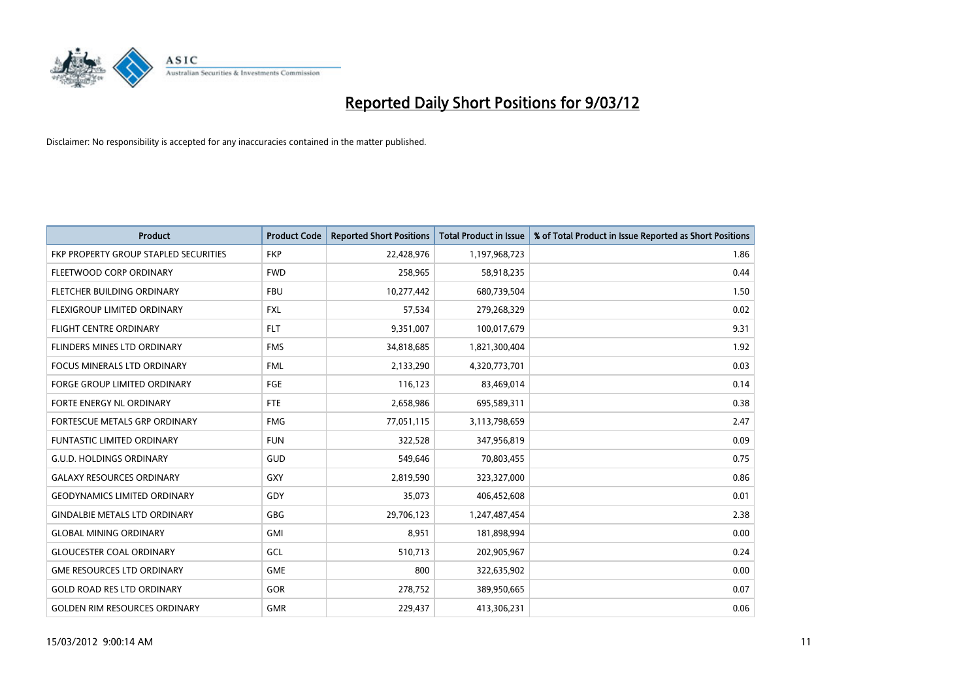

| <b>Product</b>                        | <b>Product Code</b> | <b>Reported Short Positions</b> | <b>Total Product in Issue</b> | % of Total Product in Issue Reported as Short Positions |
|---------------------------------------|---------------------|---------------------------------|-------------------------------|---------------------------------------------------------|
| FKP PROPERTY GROUP STAPLED SECURITIES | <b>FKP</b>          | 22,428,976                      | 1,197,968,723                 | 1.86                                                    |
| FLEETWOOD CORP ORDINARY               | <b>FWD</b>          | 258,965                         | 58,918,235                    | 0.44                                                    |
| FLETCHER BUILDING ORDINARY            | <b>FBU</b>          | 10,277,442                      | 680,739,504                   | 1.50                                                    |
| FLEXIGROUP LIMITED ORDINARY           | FXL                 | 57,534                          | 279,268,329                   | 0.02                                                    |
| <b>FLIGHT CENTRE ORDINARY</b>         | <b>FLT</b>          | 9,351,007                       | 100,017,679                   | 9.31                                                    |
| FLINDERS MINES LTD ORDINARY           | <b>FMS</b>          | 34,818,685                      | 1,821,300,404                 | 1.92                                                    |
| <b>FOCUS MINERALS LTD ORDINARY</b>    | <b>FML</b>          | 2,133,290                       | 4,320,773,701                 | 0.03                                                    |
| <b>FORGE GROUP LIMITED ORDINARY</b>   | FGE                 | 116,123                         | 83,469,014                    | 0.14                                                    |
| FORTE ENERGY NL ORDINARY              | <b>FTE</b>          | 2,658,986                       | 695,589,311                   | 0.38                                                    |
| FORTESCUE METALS GRP ORDINARY         | <b>FMG</b>          | 77,051,115                      | 3,113,798,659                 | 2.47                                                    |
| FUNTASTIC LIMITED ORDINARY            | <b>FUN</b>          | 322,528                         | 347,956,819                   | 0.09                                                    |
| <b>G.U.D. HOLDINGS ORDINARY</b>       | GUD                 | 549,646                         | 70,803,455                    | 0.75                                                    |
| <b>GALAXY RESOURCES ORDINARY</b>      | <b>GXY</b>          | 2,819,590                       | 323,327,000                   | 0.86                                                    |
| <b>GEODYNAMICS LIMITED ORDINARY</b>   | GDY                 | 35,073                          | 406,452,608                   | 0.01                                                    |
| <b>GINDALBIE METALS LTD ORDINARY</b>  | GBG                 | 29,706,123                      | 1,247,487,454                 | 2.38                                                    |
| <b>GLOBAL MINING ORDINARY</b>         | <b>GMI</b>          | 8,951                           | 181,898,994                   | 0.00                                                    |
| <b>GLOUCESTER COAL ORDINARY</b>       | GCL                 | 510,713                         | 202,905,967                   | 0.24                                                    |
| <b>GME RESOURCES LTD ORDINARY</b>     | <b>GME</b>          | 800                             | 322,635,902                   | 0.00                                                    |
| <b>GOLD ROAD RES LTD ORDINARY</b>     | <b>GOR</b>          | 278,752                         | 389,950,665                   | 0.07                                                    |
| <b>GOLDEN RIM RESOURCES ORDINARY</b>  | <b>GMR</b>          | 229,437                         | 413,306,231                   | 0.06                                                    |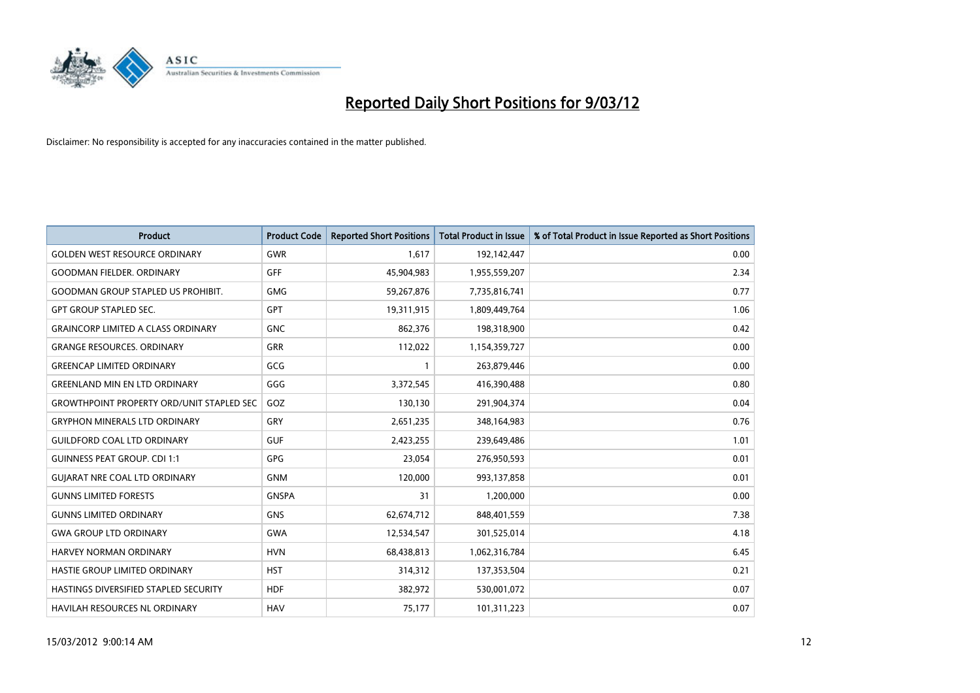

| <b>Product</b>                                   | <b>Product Code</b> | <b>Reported Short Positions</b> | <b>Total Product in Issue</b> | % of Total Product in Issue Reported as Short Positions |
|--------------------------------------------------|---------------------|---------------------------------|-------------------------------|---------------------------------------------------------|
| <b>GOLDEN WEST RESOURCE ORDINARY</b>             | GWR                 | 1,617                           | 192,142,447                   | 0.00                                                    |
| <b>GOODMAN FIELDER, ORDINARY</b>                 | <b>GFF</b>          | 45,904,983                      | 1,955,559,207                 | 2.34                                                    |
| <b>GOODMAN GROUP STAPLED US PROHIBIT.</b>        | <b>GMG</b>          | 59,267,876                      | 7,735,816,741                 | 0.77                                                    |
| <b>GPT GROUP STAPLED SEC.</b>                    | GPT                 | 19,311,915                      | 1,809,449,764                 | 1.06                                                    |
| <b>GRAINCORP LIMITED A CLASS ORDINARY</b>        | <b>GNC</b>          | 862,376                         | 198,318,900                   | 0.42                                                    |
| <b>GRANGE RESOURCES, ORDINARY</b>                | <b>GRR</b>          | 112,022                         | 1,154,359,727                 | 0.00                                                    |
| <b>GREENCAP LIMITED ORDINARY</b>                 | GCG                 | 1                               | 263,879,446                   | 0.00                                                    |
| <b>GREENLAND MIN EN LTD ORDINARY</b>             | GGG                 | 3,372,545                       | 416,390,488                   | 0.80                                                    |
| <b>GROWTHPOINT PROPERTY ORD/UNIT STAPLED SEC</b> | GOZ                 | 130,130                         | 291,904,374                   | 0.04                                                    |
| <b>GRYPHON MINERALS LTD ORDINARY</b>             | GRY                 | 2,651,235                       | 348,164,983                   | 0.76                                                    |
| <b>GUILDFORD COAL LTD ORDINARY</b>               | <b>GUF</b>          | 2,423,255                       | 239,649,486                   | 1.01                                                    |
| <b>GUINNESS PEAT GROUP. CDI 1:1</b>              | <b>GPG</b>          | 23,054                          | 276,950,593                   | 0.01                                                    |
| <b>GUIARAT NRE COAL LTD ORDINARY</b>             | <b>GNM</b>          | 120,000                         | 993,137,858                   | 0.01                                                    |
| <b>GUNNS LIMITED FORESTS</b>                     | <b>GNSPA</b>        | 31                              | 1,200,000                     | 0.00                                                    |
| <b>GUNNS LIMITED ORDINARY</b>                    | <b>GNS</b>          | 62,674,712                      | 848,401,559                   | 7.38                                                    |
| <b>GWA GROUP LTD ORDINARY</b>                    | <b>GWA</b>          | 12,534,547                      | 301,525,014                   | 4.18                                                    |
| <b>HARVEY NORMAN ORDINARY</b>                    | <b>HVN</b>          | 68,438,813                      | 1,062,316,784                 | 6.45                                                    |
| HASTIE GROUP LIMITED ORDINARY                    | <b>HST</b>          | 314,312                         | 137,353,504                   | 0.21                                                    |
| HASTINGS DIVERSIFIED STAPLED SECURITY            | <b>HDF</b>          | 382,972                         | 530,001,072                   | 0.07                                                    |
| <b>HAVILAH RESOURCES NL ORDINARY</b>             | <b>HAV</b>          | 75,177                          | 101,311,223                   | 0.07                                                    |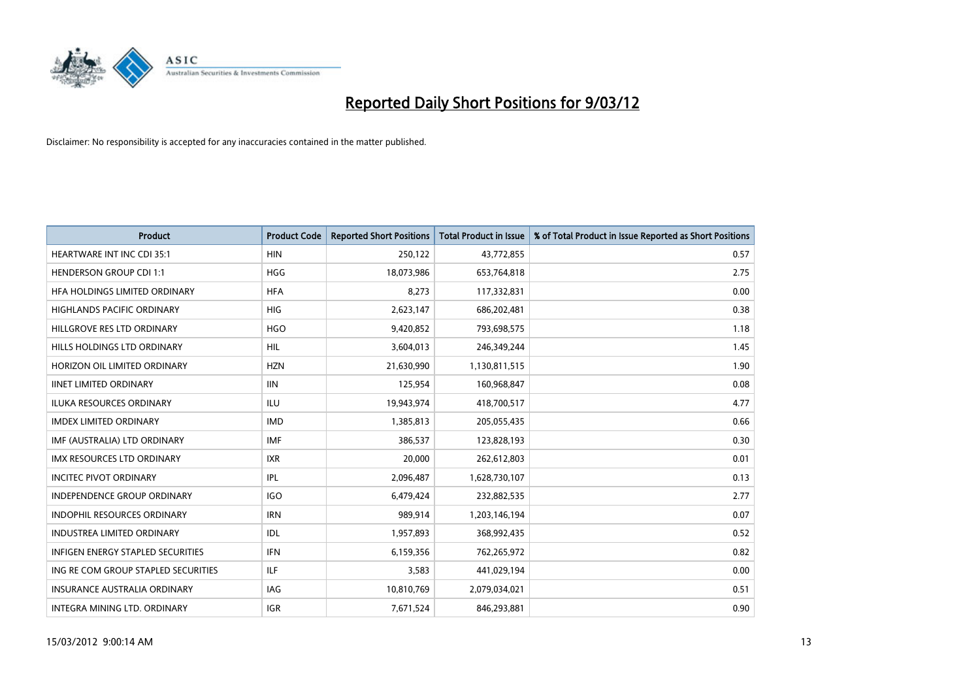

| <b>Product</b>                      | <b>Product Code</b> | <b>Reported Short Positions</b> | <b>Total Product in Issue</b> | % of Total Product in Issue Reported as Short Positions |
|-------------------------------------|---------------------|---------------------------------|-------------------------------|---------------------------------------------------------|
| <b>HEARTWARE INT INC CDI 35:1</b>   | <b>HIN</b>          | 250,122                         | 43,772,855                    | 0.57                                                    |
| <b>HENDERSON GROUP CDI 1:1</b>      | <b>HGG</b>          | 18,073,986                      | 653,764,818                   | 2.75                                                    |
| HFA HOLDINGS LIMITED ORDINARY       | <b>HFA</b>          | 8,273                           | 117,332,831                   | 0.00                                                    |
| HIGHLANDS PACIFIC ORDINARY          | <b>HIG</b>          | 2,623,147                       | 686,202,481                   | 0.38                                                    |
| HILLGROVE RES LTD ORDINARY          | <b>HGO</b>          | 9,420,852                       | 793,698,575                   | 1.18                                                    |
| HILLS HOLDINGS LTD ORDINARY         | <b>HIL</b>          | 3,604,013                       | 246,349,244                   | 1.45                                                    |
| HORIZON OIL LIMITED ORDINARY        | <b>HZN</b>          | 21,630,990                      | 1,130,811,515                 | 1.90                                                    |
| <b>IINET LIMITED ORDINARY</b>       | <b>IIN</b>          | 125,954                         | 160,968,847                   | 0.08                                                    |
| <b>ILUKA RESOURCES ORDINARY</b>     | <b>ILU</b>          | 19,943,974                      | 418,700,517                   | 4.77                                                    |
| <b>IMDEX LIMITED ORDINARY</b>       | <b>IMD</b>          | 1,385,813                       | 205,055,435                   | 0.66                                                    |
| IMF (AUSTRALIA) LTD ORDINARY        | <b>IMF</b>          | 386,537                         | 123,828,193                   | 0.30                                                    |
| <b>IMX RESOURCES LTD ORDINARY</b>   | <b>IXR</b>          | 20,000                          | 262,612,803                   | 0.01                                                    |
| <b>INCITEC PIVOT ORDINARY</b>       | IPL                 | 2,096,487                       | 1,628,730,107                 | 0.13                                                    |
| <b>INDEPENDENCE GROUP ORDINARY</b>  | <b>IGO</b>          | 6,479,424                       | 232,882,535                   | 2.77                                                    |
| <b>INDOPHIL RESOURCES ORDINARY</b>  | <b>IRN</b>          | 989,914                         | 1,203,146,194                 | 0.07                                                    |
| INDUSTREA LIMITED ORDINARY          | IDL                 | 1,957,893                       | 368,992,435                   | 0.52                                                    |
| INFIGEN ENERGY STAPLED SECURITIES   | <b>IFN</b>          | 6,159,356                       | 762,265,972                   | 0.82                                                    |
| ING RE COM GROUP STAPLED SECURITIES | ILF                 | 3,583                           | 441,029,194                   | 0.00                                                    |
| <b>INSURANCE AUSTRALIA ORDINARY</b> | <b>IAG</b>          | 10,810,769                      | 2,079,034,021                 | 0.51                                                    |
| INTEGRA MINING LTD. ORDINARY        | IGR                 | 7,671,524                       | 846,293,881                   | 0.90                                                    |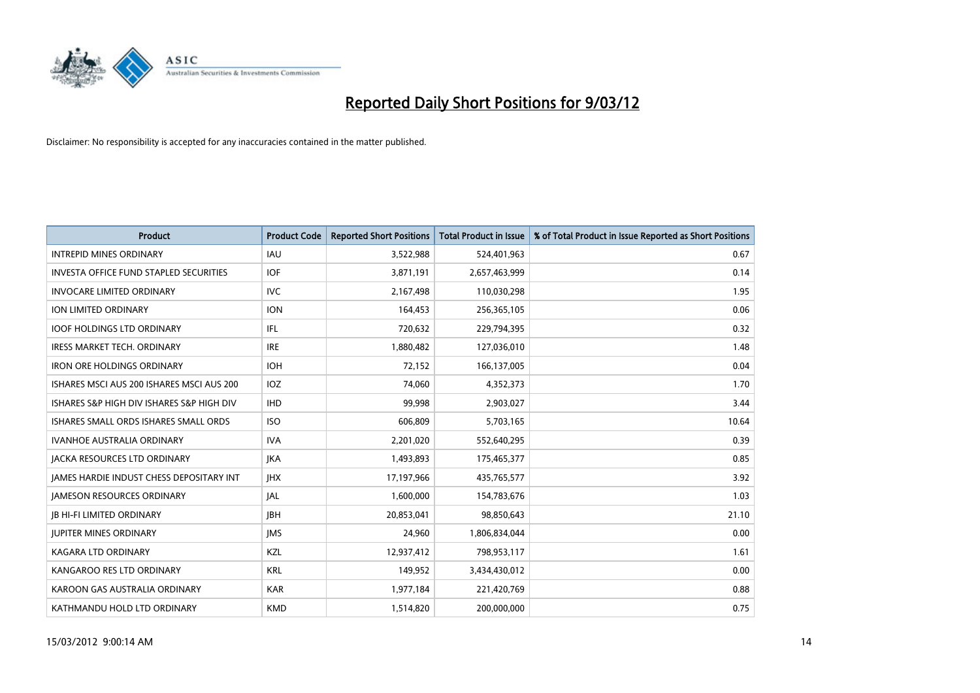

| <b>Product</b>                            | <b>Product Code</b> | <b>Reported Short Positions</b> | <b>Total Product in Issue</b> | % of Total Product in Issue Reported as Short Positions |
|-------------------------------------------|---------------------|---------------------------------|-------------------------------|---------------------------------------------------------|
| <b>INTREPID MINES ORDINARY</b>            | <b>IAU</b>          | 3,522,988                       | 524,401,963                   | 0.67                                                    |
| INVESTA OFFICE FUND STAPLED SECURITIES    | <b>IOF</b>          | 3,871,191                       | 2,657,463,999                 | 0.14                                                    |
| <b>INVOCARE LIMITED ORDINARY</b>          | <b>IVC</b>          | 2,167,498                       | 110,030,298                   | 1.95                                                    |
| ION LIMITED ORDINARY                      | <b>ION</b>          | 164,453                         | 256,365,105                   | 0.06                                                    |
| <b>IOOF HOLDINGS LTD ORDINARY</b>         | IFL                 | 720,632                         | 229,794,395                   | 0.32                                                    |
| <b>IRESS MARKET TECH. ORDINARY</b>        | <b>IRE</b>          | 1,880,482                       | 127,036,010                   | 1.48                                                    |
| <b>IRON ORE HOLDINGS ORDINARY</b>         | <b>IOH</b>          | 72,152                          | 166,137,005                   | 0.04                                                    |
| ISHARES MSCI AUS 200 ISHARES MSCI AUS 200 | IOZ                 | 74,060                          | 4,352,373                     | 1.70                                                    |
| ISHARES S&P HIGH DIV ISHARES S&P HIGH DIV | <b>IHD</b>          | 99,998                          | 2,903,027                     | 3.44                                                    |
| ISHARES SMALL ORDS ISHARES SMALL ORDS     | <b>ISO</b>          | 606,809                         | 5,703,165                     | 10.64                                                   |
| <b>IVANHOE AUSTRALIA ORDINARY</b>         | <b>IVA</b>          | 2,201,020                       | 552,640,295                   | 0.39                                                    |
| <b>JACKA RESOURCES LTD ORDINARY</b>       | <b>JKA</b>          | 1,493,893                       | 175,465,377                   | 0.85                                                    |
| JAMES HARDIE INDUST CHESS DEPOSITARY INT  | <b>IHX</b>          | 17,197,966                      | 435,765,577                   | 3.92                                                    |
| <b>IAMESON RESOURCES ORDINARY</b>         | JAL                 | 1,600,000                       | 154,783,676                   | 1.03                                                    |
| <b>JB HI-FI LIMITED ORDINARY</b>          | <b>IBH</b>          | 20,853,041                      | 98,850,643                    | 21.10                                                   |
| <b>JUPITER MINES ORDINARY</b>             | <b>IMS</b>          | 24,960                          | 1,806,834,044                 | 0.00                                                    |
| <b>KAGARA LTD ORDINARY</b>                | KZL                 | 12,937,412                      | 798,953,117                   | 1.61                                                    |
| KANGAROO RES LTD ORDINARY                 | <b>KRL</b>          | 149,952                         | 3,434,430,012                 | 0.00                                                    |
| KAROON GAS AUSTRALIA ORDINARY             | <b>KAR</b>          | 1,977,184                       | 221,420,769                   | 0.88                                                    |
| KATHMANDU HOLD LTD ORDINARY               | <b>KMD</b>          | 1,514,820                       | 200,000,000                   | 0.75                                                    |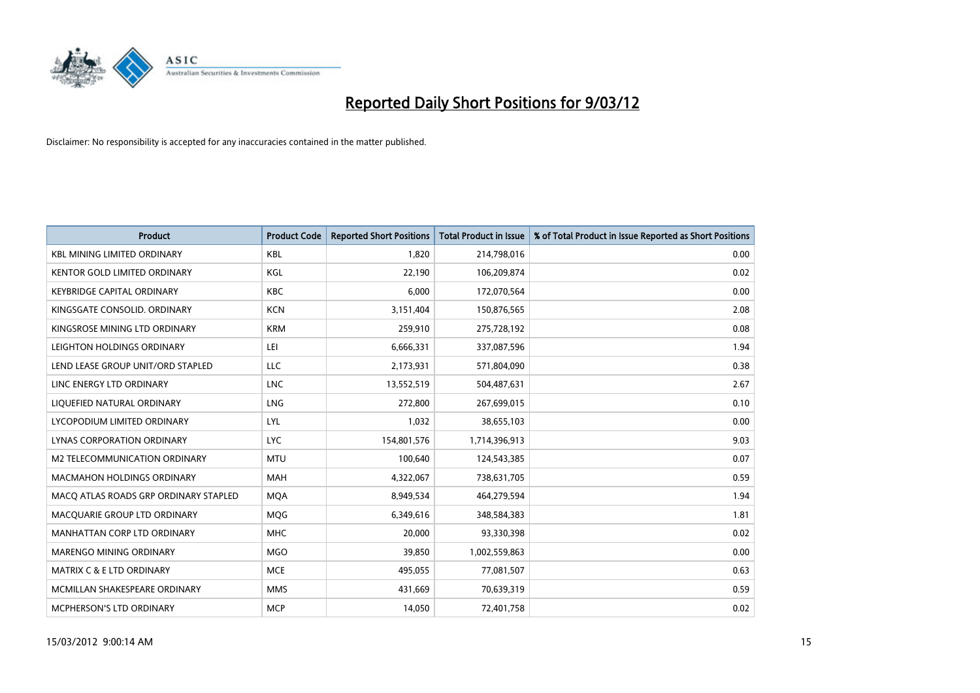

| <b>Product</b>                        | <b>Product Code</b> | <b>Reported Short Positions</b> | <b>Total Product in Issue</b> | % of Total Product in Issue Reported as Short Positions |
|---------------------------------------|---------------------|---------------------------------|-------------------------------|---------------------------------------------------------|
| <b>KBL MINING LIMITED ORDINARY</b>    | <b>KBL</b>          | 1.820                           | 214,798,016                   | 0.00                                                    |
| <b>KENTOR GOLD LIMITED ORDINARY</b>   | KGL                 | 22,190                          | 106,209,874                   | 0.02                                                    |
| <b>KEYBRIDGE CAPITAL ORDINARY</b>     | <b>KBC</b>          | 6,000                           | 172,070,564                   | 0.00                                                    |
| KINGSGATE CONSOLID. ORDINARY          | <b>KCN</b>          | 3,151,404                       | 150,876,565                   | 2.08                                                    |
| KINGSROSE MINING LTD ORDINARY         | <b>KRM</b>          | 259,910                         | 275,728,192                   | 0.08                                                    |
| LEIGHTON HOLDINGS ORDINARY            | LEI                 | 6,666,331                       | 337,087,596                   | 1.94                                                    |
| LEND LEASE GROUP UNIT/ORD STAPLED     | LLC                 | 2,173,931                       | 571,804,090                   | 0.38                                                    |
| LINC ENERGY LTD ORDINARY              | <b>LNC</b>          | 13,552,519                      | 504,487,631                   | 2.67                                                    |
| LIQUEFIED NATURAL ORDINARY            | <b>LNG</b>          | 272,800                         | 267,699,015                   | 0.10                                                    |
| LYCOPODIUM LIMITED ORDINARY           | LYL                 | 1,032                           | 38,655,103                    | 0.00                                                    |
| <b>LYNAS CORPORATION ORDINARY</b>     | <b>LYC</b>          | 154,801,576                     | 1,714,396,913                 | 9.03                                                    |
| M2 TELECOMMUNICATION ORDINARY         | <b>MTU</b>          | 100,640                         | 124,543,385                   | 0.07                                                    |
| <b>MACMAHON HOLDINGS ORDINARY</b>     | <b>MAH</b>          | 4,322,067                       | 738,631,705                   | 0.59                                                    |
| MACQ ATLAS ROADS GRP ORDINARY STAPLED | <b>MQA</b>          | 8,949,534                       | 464,279,594                   | 1.94                                                    |
| MACQUARIE GROUP LTD ORDINARY          | <b>MQG</b>          | 6,349,616                       | 348,584,383                   | 1.81                                                    |
| MANHATTAN CORP LTD ORDINARY           | <b>MHC</b>          | 20,000                          | 93,330,398                    | 0.02                                                    |
| MARENGO MINING ORDINARY               | <b>MGO</b>          | 39,850                          | 1,002,559,863                 | 0.00                                                    |
| <b>MATRIX C &amp; E LTD ORDINARY</b>  | <b>MCE</b>          | 495,055                         | 77,081,507                    | 0.63                                                    |
| MCMILLAN SHAKESPEARE ORDINARY         | <b>MMS</b>          | 431,669                         | 70,639,319                    | 0.59                                                    |
| MCPHERSON'S LTD ORDINARY              | <b>MCP</b>          | 14,050                          | 72,401,758                    | 0.02                                                    |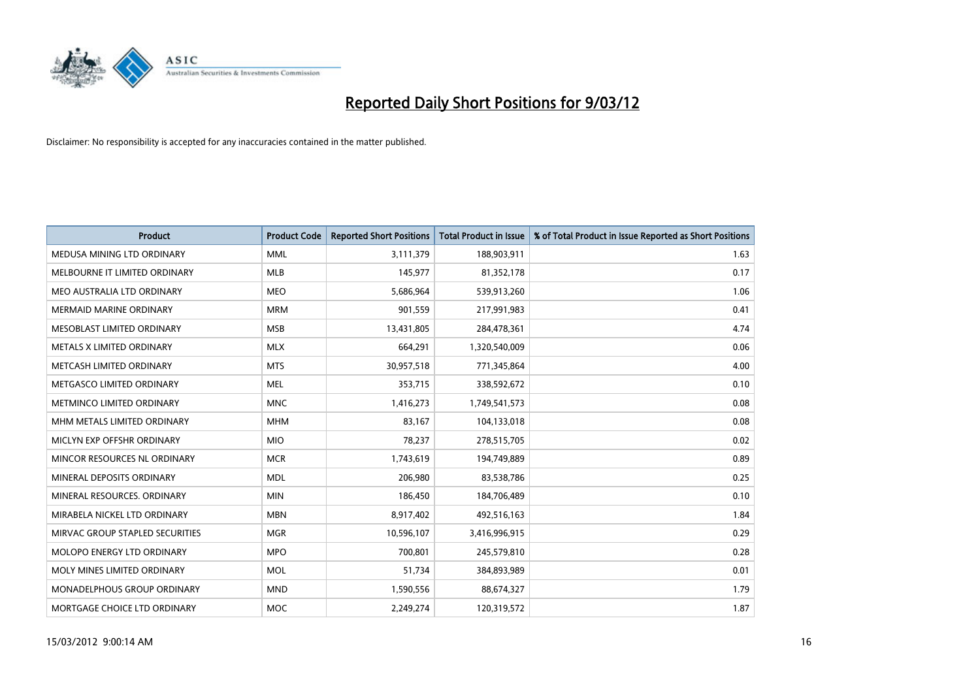

| <b>Product</b>                  | <b>Product Code</b> | <b>Reported Short Positions</b> | <b>Total Product in Issue</b> | % of Total Product in Issue Reported as Short Positions |
|---------------------------------|---------------------|---------------------------------|-------------------------------|---------------------------------------------------------|
| MEDUSA MINING LTD ORDINARY      | <b>MML</b>          | 3,111,379                       | 188,903,911                   | 1.63                                                    |
| MELBOURNE IT LIMITED ORDINARY   | <b>MLB</b>          | 145,977                         | 81,352,178                    | 0.17                                                    |
| MEO AUSTRALIA LTD ORDINARY      | <b>MEO</b>          | 5,686,964                       | 539,913,260                   | 1.06                                                    |
| <b>MERMAID MARINE ORDINARY</b>  | <b>MRM</b>          | 901,559                         | 217,991,983                   | 0.41                                                    |
| MESOBLAST LIMITED ORDINARY      | <b>MSB</b>          | 13,431,805                      | 284,478,361                   | 4.74                                                    |
| METALS X LIMITED ORDINARY       | <b>MLX</b>          | 664,291                         | 1,320,540,009                 | 0.06                                                    |
| METCASH LIMITED ORDINARY        | <b>MTS</b>          | 30,957,518                      | 771,345,864                   | 4.00                                                    |
| METGASCO LIMITED ORDINARY       | <b>MEL</b>          | 353,715                         | 338,592,672                   | 0.10                                                    |
| METMINCO LIMITED ORDINARY       | <b>MNC</b>          | 1,416,273                       | 1,749,541,573                 | 0.08                                                    |
| MHM METALS LIMITED ORDINARY     | <b>MHM</b>          | 83,167                          | 104,133,018                   | 0.08                                                    |
| MICLYN EXP OFFSHR ORDINARY      | <b>MIO</b>          | 78,237                          | 278,515,705                   | 0.02                                                    |
| MINCOR RESOURCES NL ORDINARY    | <b>MCR</b>          | 1,743,619                       | 194,749,889                   | 0.89                                                    |
| MINERAL DEPOSITS ORDINARY       | <b>MDL</b>          | 206,980                         | 83,538,786                    | 0.25                                                    |
| MINERAL RESOURCES, ORDINARY     | <b>MIN</b>          | 186,450                         | 184,706,489                   | 0.10                                                    |
| MIRABELA NICKEL LTD ORDINARY    | <b>MBN</b>          | 8,917,402                       | 492,516,163                   | 1.84                                                    |
| MIRVAC GROUP STAPLED SECURITIES | <b>MGR</b>          | 10,596,107                      | 3,416,996,915                 | 0.29                                                    |
| MOLOPO ENERGY LTD ORDINARY      | <b>MPO</b>          | 700,801                         | 245,579,810                   | 0.28                                                    |
| MOLY MINES LIMITED ORDINARY     | <b>MOL</b>          | 51,734                          | 384,893,989                   | 0.01                                                    |
| MONADELPHOUS GROUP ORDINARY     | <b>MND</b>          | 1,590,556                       | 88,674,327                    | 1.79                                                    |
| MORTGAGE CHOICE LTD ORDINARY    | <b>MOC</b>          | 2,249,274                       | 120,319,572                   | 1.87                                                    |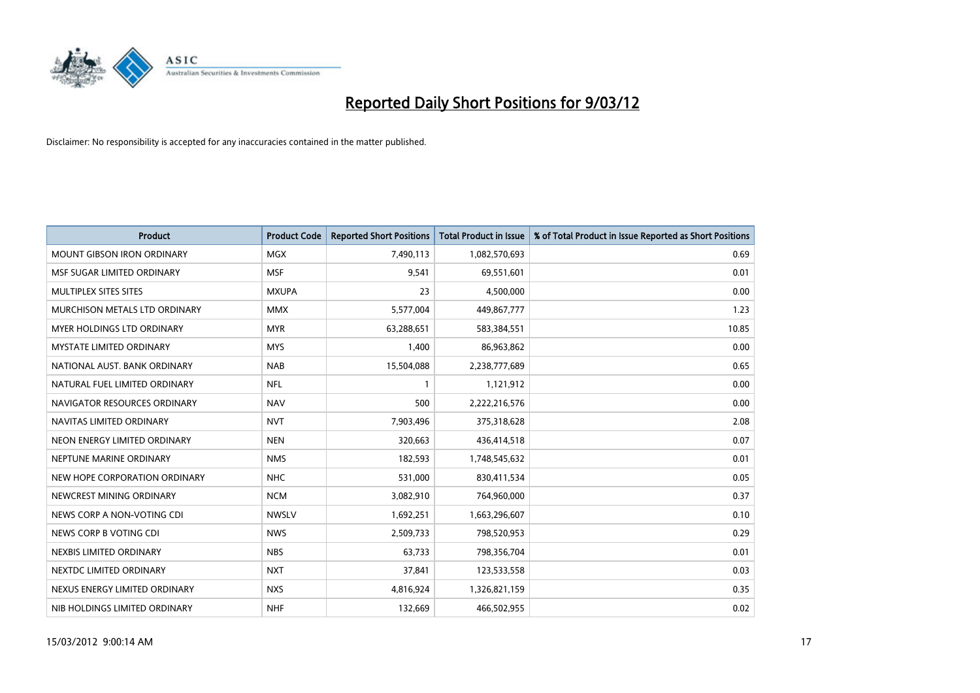

| <b>Product</b>                    | <b>Product Code</b> | <b>Reported Short Positions</b> | <b>Total Product in Issue</b> | % of Total Product in Issue Reported as Short Positions |
|-----------------------------------|---------------------|---------------------------------|-------------------------------|---------------------------------------------------------|
| <b>MOUNT GIBSON IRON ORDINARY</b> | <b>MGX</b>          | 7,490,113                       | 1,082,570,693                 | 0.69                                                    |
| MSF SUGAR LIMITED ORDINARY        | <b>MSF</b>          | 9,541                           | 69,551,601                    | 0.01                                                    |
| MULTIPLEX SITES SITES             | <b>MXUPA</b>        | 23                              | 4,500,000                     | 0.00                                                    |
| MURCHISON METALS LTD ORDINARY     | <b>MMX</b>          | 5,577,004                       | 449,867,777                   | 1.23                                                    |
| <b>MYER HOLDINGS LTD ORDINARY</b> | <b>MYR</b>          | 63,288,651                      | 583,384,551                   | 10.85                                                   |
| <b>MYSTATE LIMITED ORDINARY</b>   | <b>MYS</b>          | 1,400                           | 86,963,862                    | 0.00                                                    |
| NATIONAL AUST. BANK ORDINARY      | <b>NAB</b>          | 15,504,088                      | 2,238,777,689                 | 0.65                                                    |
| NATURAL FUEL LIMITED ORDINARY     | <b>NFL</b>          | $\mathbf{1}$                    | 1,121,912                     | 0.00                                                    |
| NAVIGATOR RESOURCES ORDINARY      | <b>NAV</b>          | 500                             | 2,222,216,576                 | 0.00                                                    |
| NAVITAS LIMITED ORDINARY          | <b>NVT</b>          | 7,903,496                       | 375,318,628                   | 2.08                                                    |
| NEON ENERGY LIMITED ORDINARY      | <b>NEN</b>          | 320,663                         | 436,414,518                   | 0.07                                                    |
| NEPTUNE MARINE ORDINARY           | <b>NMS</b>          | 182,593                         | 1,748,545,632                 | 0.01                                                    |
| NEW HOPE CORPORATION ORDINARY     | <b>NHC</b>          | 531,000                         | 830,411,534                   | 0.05                                                    |
| NEWCREST MINING ORDINARY          | <b>NCM</b>          | 3,082,910                       | 764,960,000                   | 0.37                                                    |
| NEWS CORP A NON-VOTING CDI        | <b>NWSLV</b>        | 1,692,251                       | 1,663,296,607                 | 0.10                                                    |
| NEWS CORP B VOTING CDI            | <b>NWS</b>          | 2,509,733                       | 798,520,953                   | 0.29                                                    |
| NEXBIS LIMITED ORDINARY           | <b>NBS</b>          | 63,733                          | 798,356,704                   | 0.01                                                    |
| NEXTDC LIMITED ORDINARY           | <b>NXT</b>          | 37,841                          | 123,533,558                   | 0.03                                                    |
| NEXUS ENERGY LIMITED ORDINARY     | <b>NXS</b>          | 4,816,924                       | 1,326,821,159                 | 0.35                                                    |
| NIB HOLDINGS LIMITED ORDINARY     | <b>NHF</b>          | 132,669                         | 466,502,955                   | 0.02                                                    |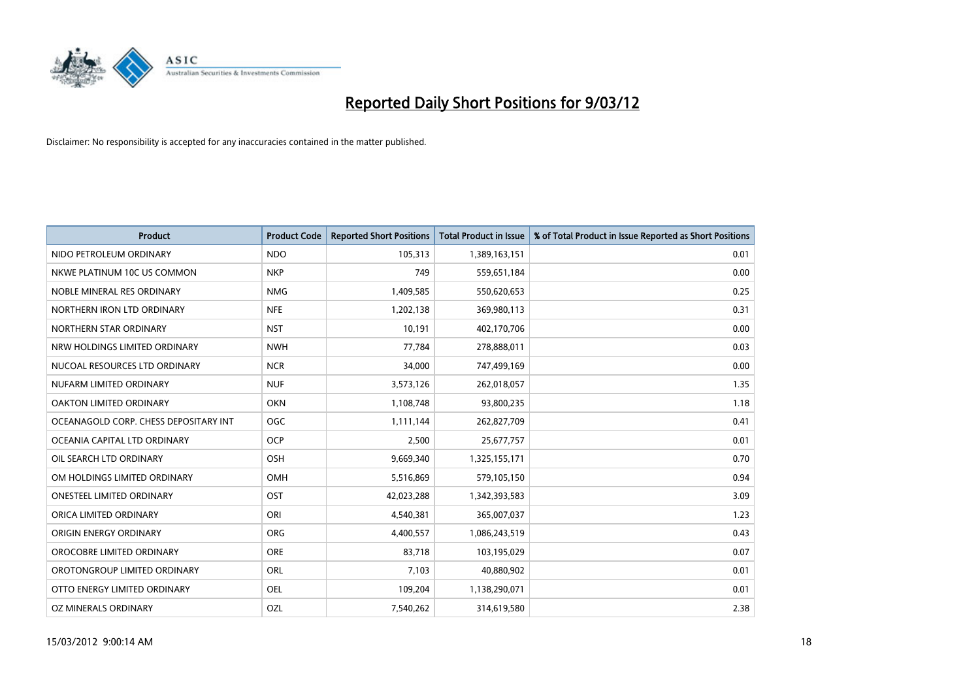

| <b>Product</b>                        | <b>Product Code</b> | <b>Reported Short Positions</b> | <b>Total Product in Issue</b> | % of Total Product in Issue Reported as Short Positions |
|---------------------------------------|---------------------|---------------------------------|-------------------------------|---------------------------------------------------------|
| NIDO PETROLEUM ORDINARY               | <b>NDO</b>          | 105,313                         | 1,389,163,151                 | 0.01                                                    |
| NKWE PLATINUM 10C US COMMON           | <b>NKP</b>          | 749                             | 559,651,184                   | 0.00                                                    |
| NOBLE MINERAL RES ORDINARY            | <b>NMG</b>          | 1,409,585                       | 550,620,653                   | 0.25                                                    |
| NORTHERN IRON LTD ORDINARY            | <b>NFE</b>          | 1,202,138                       | 369,980,113                   | 0.31                                                    |
| NORTHERN STAR ORDINARY                | <b>NST</b>          | 10,191                          | 402,170,706                   | 0.00                                                    |
| NRW HOLDINGS LIMITED ORDINARY         | <b>NWH</b>          | 77,784                          | 278,888,011                   | 0.03                                                    |
| NUCOAL RESOURCES LTD ORDINARY         | <b>NCR</b>          | 34,000                          | 747,499,169                   | 0.00                                                    |
| NUFARM LIMITED ORDINARY               | <b>NUF</b>          | 3,573,126                       | 262,018,057                   | 1.35                                                    |
| OAKTON LIMITED ORDINARY               | <b>OKN</b>          | 1,108,748                       | 93,800,235                    | 1.18                                                    |
| OCEANAGOLD CORP. CHESS DEPOSITARY INT | <b>OGC</b>          | 1,111,144                       | 262,827,709                   | 0.41                                                    |
| OCEANIA CAPITAL LTD ORDINARY          | <b>OCP</b>          | 2,500                           | 25,677,757                    | 0.01                                                    |
| OIL SEARCH LTD ORDINARY               | OSH                 | 9,669,340                       | 1,325,155,171                 | 0.70                                                    |
| OM HOLDINGS LIMITED ORDINARY          | OMH                 | 5,516,869                       | 579,105,150                   | 0.94                                                    |
| ONESTEEL LIMITED ORDINARY             | OST                 | 42,023,288                      | 1,342,393,583                 | 3.09                                                    |
| ORICA LIMITED ORDINARY                | ORI                 | 4,540,381                       | 365,007,037                   | 1.23                                                    |
| ORIGIN ENERGY ORDINARY                | ORG                 | 4,400,557                       | 1,086,243,519                 | 0.43                                                    |
| OROCOBRE LIMITED ORDINARY             | <b>ORE</b>          | 83,718                          | 103,195,029                   | 0.07                                                    |
| OROTONGROUP LIMITED ORDINARY          | ORL                 | 7,103                           | 40,880,902                    | 0.01                                                    |
| OTTO ENERGY LIMITED ORDINARY          | <b>OEL</b>          | 109,204                         | 1,138,290,071                 | 0.01                                                    |
| OZ MINERALS ORDINARY                  | OZL                 | 7,540,262                       | 314,619,580                   | 2.38                                                    |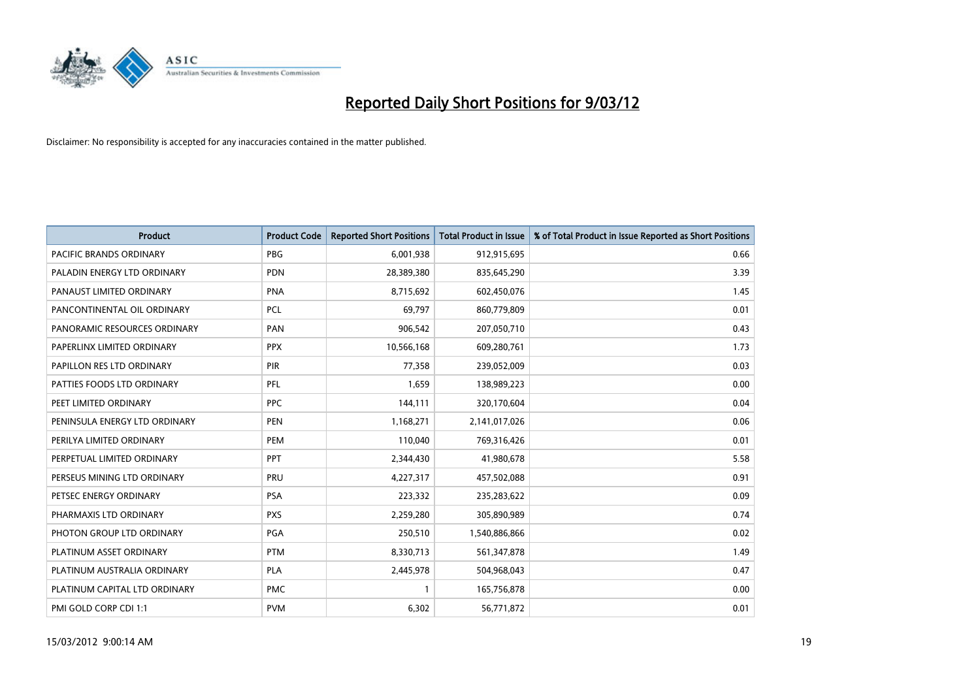

| <b>Product</b>                 | <b>Product Code</b> | <b>Reported Short Positions</b> | <b>Total Product in Issue</b> | % of Total Product in Issue Reported as Short Positions |
|--------------------------------|---------------------|---------------------------------|-------------------------------|---------------------------------------------------------|
| <b>PACIFIC BRANDS ORDINARY</b> | <b>PBG</b>          | 6,001,938                       | 912,915,695                   | 0.66                                                    |
| PALADIN ENERGY LTD ORDINARY    | <b>PDN</b>          | 28,389,380                      | 835,645,290                   | 3.39                                                    |
| PANAUST LIMITED ORDINARY       | <b>PNA</b>          | 8,715,692                       | 602,450,076                   | 1.45                                                    |
| PANCONTINENTAL OIL ORDINARY    | PCL                 | 69,797                          | 860,779,809                   | 0.01                                                    |
| PANORAMIC RESOURCES ORDINARY   | PAN                 | 906,542                         | 207,050,710                   | 0.43                                                    |
| PAPERLINX LIMITED ORDINARY     | <b>PPX</b>          | 10,566,168                      | 609,280,761                   | 1.73                                                    |
| PAPILLON RES LTD ORDINARY      | <b>PIR</b>          | 77,358                          | 239,052,009                   | 0.03                                                    |
| PATTIES FOODS LTD ORDINARY     | PFL                 | 1,659                           | 138,989,223                   | 0.00                                                    |
| PEET LIMITED ORDINARY          | <b>PPC</b>          | 144,111                         | 320,170,604                   | 0.04                                                    |
| PENINSULA ENERGY LTD ORDINARY  | <b>PEN</b>          | 1,168,271                       | 2,141,017,026                 | 0.06                                                    |
| PERILYA LIMITED ORDINARY       | <b>PEM</b>          | 110,040                         | 769,316,426                   | 0.01                                                    |
| PERPETUAL LIMITED ORDINARY     | PPT                 | 2,344,430                       | 41,980,678                    | 5.58                                                    |
| PERSEUS MINING LTD ORDINARY    | PRU                 | 4,227,317                       | 457,502,088                   | 0.91                                                    |
| PETSEC ENERGY ORDINARY         | <b>PSA</b>          | 223,332                         | 235,283,622                   | 0.09                                                    |
| PHARMAXIS LTD ORDINARY         | <b>PXS</b>          | 2,259,280                       | 305,890,989                   | 0.74                                                    |
| PHOTON GROUP LTD ORDINARY      | PGA                 | 250,510                         | 1,540,886,866                 | 0.02                                                    |
| PLATINUM ASSET ORDINARY        | <b>PTM</b>          | 8,330,713                       | 561,347,878                   | 1.49                                                    |
| PLATINUM AUSTRALIA ORDINARY    | <b>PLA</b>          | 2,445,978                       | 504,968,043                   | 0.47                                                    |
| PLATINUM CAPITAL LTD ORDINARY  | <b>PMC</b>          | $\mathbf{1}$                    | 165,756,878                   | 0.00                                                    |
| PMI GOLD CORP CDI 1:1          | <b>PVM</b>          | 6,302                           | 56,771,872                    | 0.01                                                    |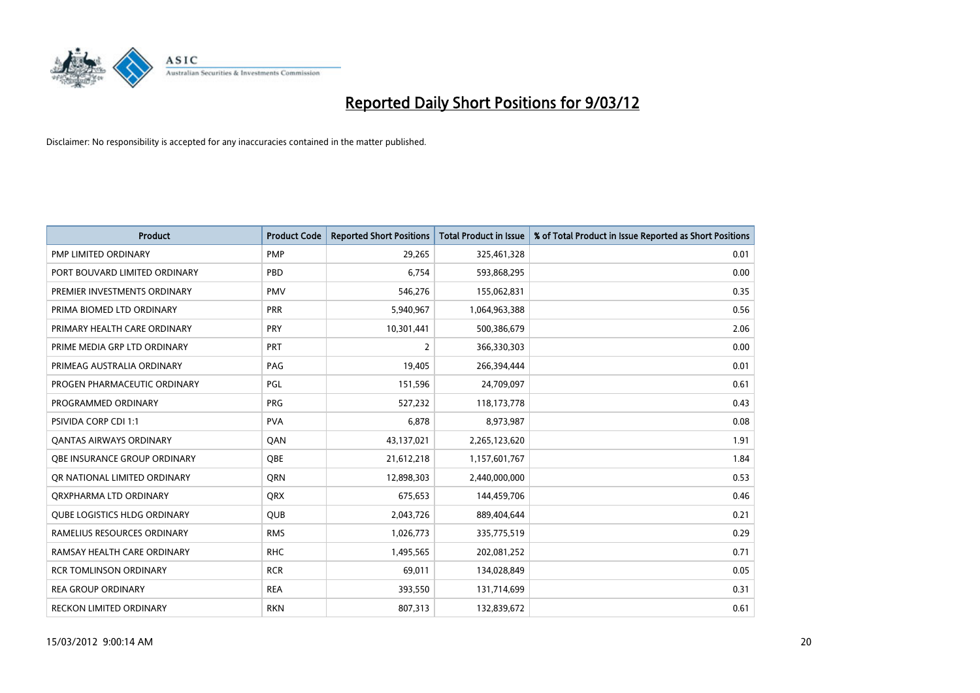

| <b>Product</b>                      | <b>Product Code</b> | <b>Reported Short Positions</b> | <b>Total Product in Issue</b> | % of Total Product in Issue Reported as Short Positions |
|-------------------------------------|---------------------|---------------------------------|-------------------------------|---------------------------------------------------------|
| PMP LIMITED ORDINARY                | <b>PMP</b>          | 29,265                          | 325,461,328                   | 0.01                                                    |
| PORT BOUVARD LIMITED ORDINARY       | <b>PBD</b>          | 6,754                           | 593,868,295                   | 0.00                                                    |
| PREMIER INVESTMENTS ORDINARY        | <b>PMV</b>          | 546,276                         | 155,062,831                   | 0.35                                                    |
| PRIMA BIOMED LTD ORDINARY           | <b>PRR</b>          | 5,940,967                       | 1,064,963,388                 | 0.56                                                    |
| PRIMARY HEALTH CARE ORDINARY        | <b>PRY</b>          | 10,301,441                      | 500,386,679                   | 2.06                                                    |
| PRIME MEDIA GRP LTD ORDINARY        | PRT                 | $\overline{2}$                  | 366,330,303                   | 0.00                                                    |
| PRIMEAG AUSTRALIA ORDINARY          | PAG                 | 19,405                          | 266,394,444                   | 0.01                                                    |
| PROGEN PHARMACEUTIC ORDINARY        | PGL                 | 151,596                         | 24,709,097                    | 0.61                                                    |
| PROGRAMMED ORDINARY                 | <b>PRG</b>          | 527,232                         | 118,173,778                   | 0.43                                                    |
| <b>PSIVIDA CORP CDI 1:1</b>         | <b>PVA</b>          | 6,878                           | 8,973,987                     | 0.08                                                    |
| <b>QANTAS AIRWAYS ORDINARY</b>      | QAN                 | 43,137,021                      | 2,265,123,620                 | 1.91                                                    |
| OBE INSURANCE GROUP ORDINARY        | QBE                 | 21,612,218                      | 1,157,601,767                 | 1.84                                                    |
| OR NATIONAL LIMITED ORDINARY        | <b>ORN</b>          | 12,898,303                      | 2,440,000,000                 | 0.53                                                    |
| ORXPHARMA LTD ORDINARY              | <b>QRX</b>          | 675,653                         | 144,459,706                   | 0.46                                                    |
| <b>QUBE LOGISTICS HLDG ORDINARY</b> | <b>QUB</b>          | 2,043,726                       | 889,404,644                   | 0.21                                                    |
| RAMELIUS RESOURCES ORDINARY         | <b>RMS</b>          | 1,026,773                       | 335,775,519                   | 0.29                                                    |
| RAMSAY HEALTH CARE ORDINARY         | <b>RHC</b>          | 1,495,565                       | 202,081,252                   | 0.71                                                    |
| <b>RCR TOMLINSON ORDINARY</b>       | <b>RCR</b>          | 69,011                          | 134,028,849                   | 0.05                                                    |
| <b>REA GROUP ORDINARY</b>           | <b>REA</b>          | 393,550                         | 131,714,699                   | 0.31                                                    |
| RECKON LIMITED ORDINARY             | <b>RKN</b>          | 807,313                         | 132,839,672                   | 0.61                                                    |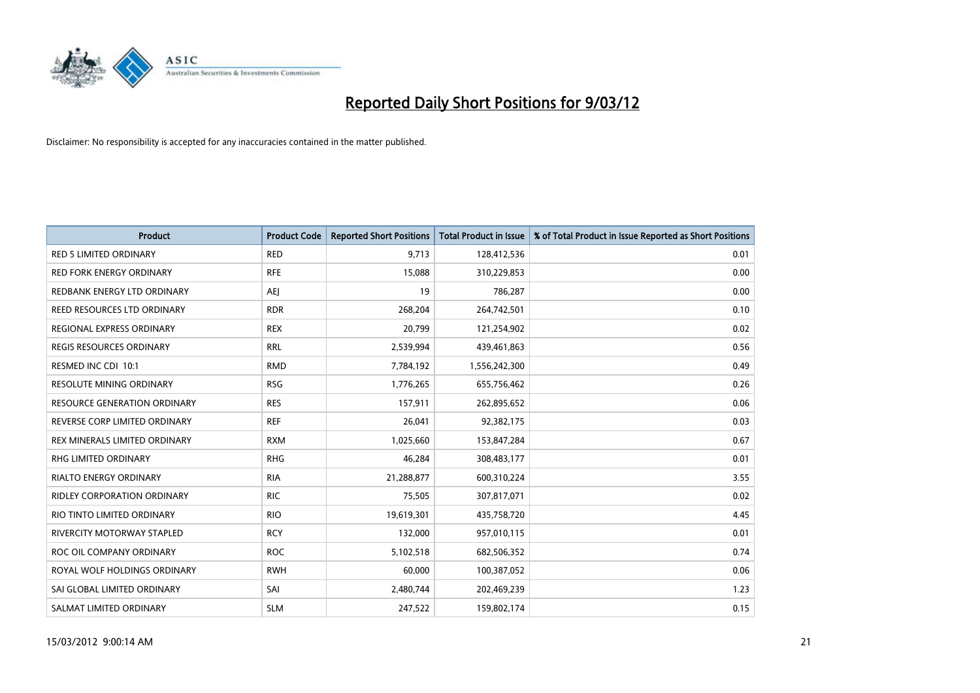

| <b>Product</b>                      | <b>Product Code</b> | <b>Reported Short Positions</b> | <b>Total Product in Issue</b> | % of Total Product in Issue Reported as Short Positions |
|-------------------------------------|---------------------|---------------------------------|-------------------------------|---------------------------------------------------------|
| <b>RED 5 LIMITED ORDINARY</b>       | <b>RED</b>          | 9,713                           | 128,412,536                   | 0.01                                                    |
| <b>RED FORK ENERGY ORDINARY</b>     | <b>RFE</b>          | 15,088                          | 310,229,853                   | 0.00                                                    |
| REDBANK ENERGY LTD ORDINARY         | <b>AEI</b>          | 19                              | 786,287                       | 0.00                                                    |
| REED RESOURCES LTD ORDINARY         | <b>RDR</b>          | 268,204                         | 264,742,501                   | 0.10                                                    |
| REGIONAL EXPRESS ORDINARY           | <b>REX</b>          | 20,799                          | 121,254,902                   | 0.02                                                    |
| <b>REGIS RESOURCES ORDINARY</b>     | <b>RRL</b>          | 2,539,994                       | 439,461,863                   | 0.56                                                    |
| RESMED INC CDI 10:1                 | <b>RMD</b>          | 7,784,192                       | 1,556,242,300                 | 0.49                                                    |
| RESOLUTE MINING ORDINARY            | <b>RSG</b>          | 1,776,265                       | 655,756,462                   | 0.26                                                    |
| <b>RESOURCE GENERATION ORDINARY</b> | <b>RES</b>          | 157,911                         | 262,895,652                   | 0.06                                                    |
| REVERSE CORP LIMITED ORDINARY       | <b>REF</b>          | 26,041                          | 92,382,175                    | 0.03                                                    |
| REX MINERALS LIMITED ORDINARY       | <b>RXM</b>          | 1,025,660                       | 153,847,284                   | 0.67                                                    |
| RHG LIMITED ORDINARY                | <b>RHG</b>          | 46,284                          | 308,483,177                   | 0.01                                                    |
| RIALTO ENERGY ORDINARY              | <b>RIA</b>          | 21,288,877                      | 600,310,224                   | 3.55                                                    |
| RIDLEY CORPORATION ORDINARY         | <b>RIC</b>          | 75,505                          | 307,817,071                   | 0.02                                                    |
| RIO TINTO LIMITED ORDINARY          | <b>RIO</b>          | 19,619,301                      | 435,758,720                   | 4.45                                                    |
| RIVERCITY MOTORWAY STAPLED          | <b>RCY</b>          | 132,000                         | 957,010,115                   | 0.01                                                    |
| ROC OIL COMPANY ORDINARY            | <b>ROC</b>          | 5,102,518                       | 682,506,352                   | 0.74                                                    |
| ROYAL WOLF HOLDINGS ORDINARY        | <b>RWH</b>          | 60,000                          | 100,387,052                   | 0.06                                                    |
| SAI GLOBAL LIMITED ORDINARY         | SAI                 | 2,480,744                       | 202,469,239                   | 1.23                                                    |
| SALMAT LIMITED ORDINARY             | <b>SLM</b>          | 247,522                         | 159,802,174                   | 0.15                                                    |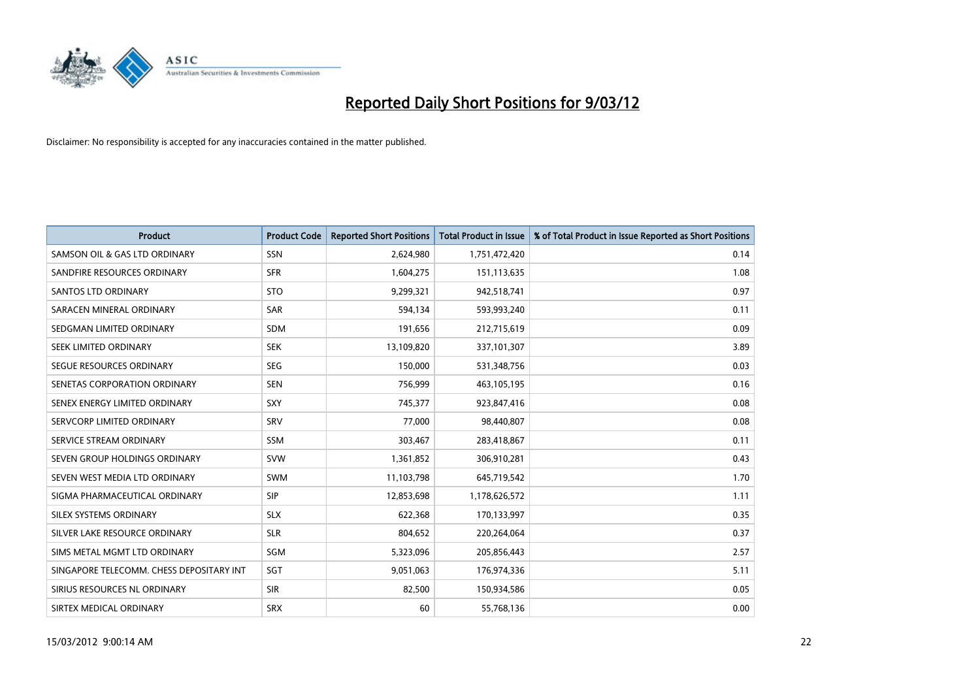

| <b>Product</b>                           | <b>Product Code</b> | <b>Reported Short Positions</b> | <b>Total Product in Issue</b> | % of Total Product in Issue Reported as Short Positions |
|------------------------------------------|---------------------|---------------------------------|-------------------------------|---------------------------------------------------------|
| SAMSON OIL & GAS LTD ORDINARY            | SSN                 | 2,624,980                       | 1,751,472,420                 | 0.14                                                    |
| SANDFIRE RESOURCES ORDINARY              | <b>SFR</b>          | 1,604,275                       | 151,113,635                   | 1.08                                                    |
| <b>SANTOS LTD ORDINARY</b>               | <b>STO</b>          | 9,299,321                       | 942,518,741                   | 0.97                                                    |
| SARACEN MINERAL ORDINARY                 | <b>SAR</b>          | 594,134                         | 593,993,240                   | 0.11                                                    |
| SEDGMAN LIMITED ORDINARY                 | <b>SDM</b>          | 191,656                         | 212,715,619                   | 0.09                                                    |
| SEEK LIMITED ORDINARY                    | <b>SEK</b>          | 13,109,820                      | 337,101,307                   | 3.89                                                    |
| SEGUE RESOURCES ORDINARY                 | <b>SEG</b>          | 150,000                         | 531,348,756                   | 0.03                                                    |
| SENETAS CORPORATION ORDINARY             | <b>SEN</b>          | 756,999                         | 463,105,195                   | 0.16                                                    |
| SENEX ENERGY LIMITED ORDINARY            | SXY                 | 745,377                         | 923,847,416                   | 0.08                                                    |
| SERVCORP LIMITED ORDINARY                | SRV                 | 77,000                          | 98,440,807                    | 0.08                                                    |
| SERVICE STREAM ORDINARY                  | <b>SSM</b>          | 303,467                         | 283,418,867                   | 0.11                                                    |
| SEVEN GROUP HOLDINGS ORDINARY            | <b>SVW</b>          | 1,361,852                       | 306,910,281                   | 0.43                                                    |
| SEVEN WEST MEDIA LTD ORDINARY            | <b>SWM</b>          | 11,103,798                      | 645,719,542                   | 1.70                                                    |
| SIGMA PHARMACEUTICAL ORDINARY            | <b>SIP</b>          | 12,853,698                      | 1,178,626,572                 | 1.11                                                    |
| SILEX SYSTEMS ORDINARY                   | <b>SLX</b>          | 622,368                         | 170,133,997                   | 0.35                                                    |
| SILVER LAKE RESOURCE ORDINARY            | <b>SLR</b>          | 804,652                         | 220,264,064                   | 0.37                                                    |
| SIMS METAL MGMT LTD ORDINARY             | <b>SGM</b>          | 5,323,096                       | 205,856,443                   | 2.57                                                    |
| SINGAPORE TELECOMM. CHESS DEPOSITARY INT | SGT                 | 9,051,063                       | 176,974,336                   | 5.11                                                    |
| SIRIUS RESOURCES NL ORDINARY             | <b>SIR</b>          | 82,500                          | 150,934,586                   | 0.05                                                    |
| SIRTEX MEDICAL ORDINARY                  | <b>SRX</b>          | 60                              | 55,768,136                    | 0.00                                                    |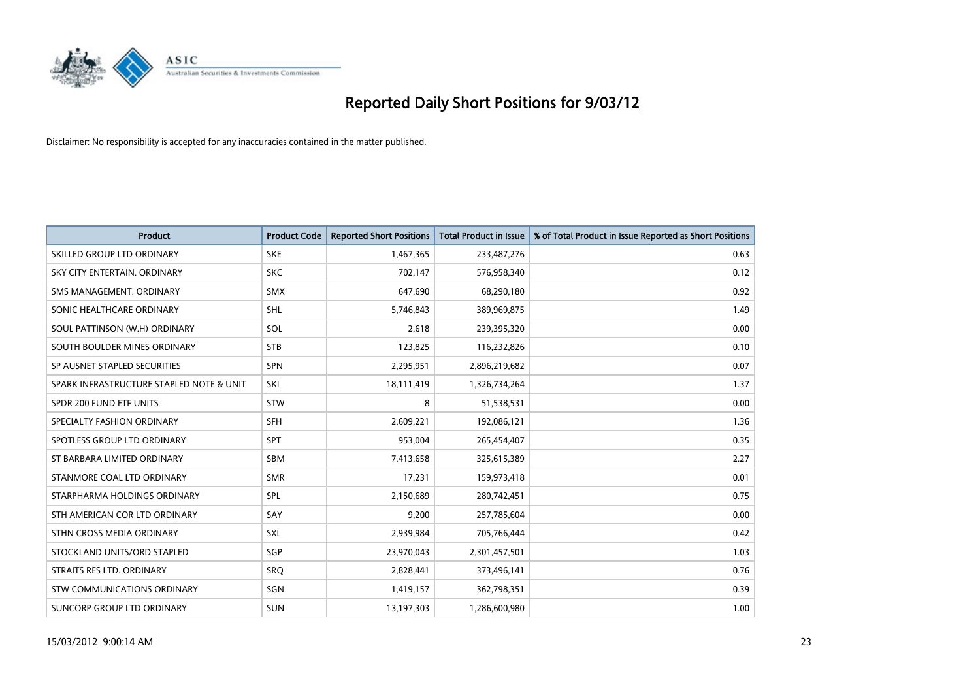

| <b>Product</b>                           | <b>Product Code</b> | <b>Reported Short Positions</b> | <b>Total Product in Issue</b> | % of Total Product in Issue Reported as Short Positions |
|------------------------------------------|---------------------|---------------------------------|-------------------------------|---------------------------------------------------------|
| SKILLED GROUP LTD ORDINARY               | <b>SKE</b>          | 1,467,365                       | 233,487,276                   | 0.63                                                    |
| SKY CITY ENTERTAIN, ORDINARY             | <b>SKC</b>          | 702,147                         | 576,958,340                   | 0.12                                                    |
| SMS MANAGEMENT, ORDINARY                 | <b>SMX</b>          | 647,690                         | 68,290,180                    | 0.92                                                    |
| SONIC HEALTHCARE ORDINARY                | <b>SHL</b>          | 5,746,843                       | 389,969,875                   | 1.49                                                    |
| SOUL PATTINSON (W.H) ORDINARY            | SOL                 | 2,618                           | 239,395,320                   | 0.00                                                    |
| SOUTH BOULDER MINES ORDINARY             | <b>STB</b>          | 123,825                         | 116,232,826                   | 0.10                                                    |
| SP AUSNET STAPLED SECURITIES             | SPN                 | 2,295,951                       | 2,896,219,682                 | 0.07                                                    |
| SPARK INFRASTRUCTURE STAPLED NOTE & UNIT | SKI                 | 18,111,419                      | 1,326,734,264                 | 1.37                                                    |
| SPDR 200 FUND ETF UNITS                  | <b>STW</b>          | 8                               | 51,538,531                    | 0.00                                                    |
| SPECIALTY FASHION ORDINARY               | SFH                 | 2,609,221                       | 192,086,121                   | 1.36                                                    |
| SPOTLESS GROUP LTD ORDINARY              | <b>SPT</b>          | 953,004                         | 265,454,407                   | 0.35                                                    |
| ST BARBARA LIMITED ORDINARY              | <b>SBM</b>          | 7,413,658                       | 325,615,389                   | 2.27                                                    |
| STANMORE COAL LTD ORDINARY               | <b>SMR</b>          | 17,231                          | 159,973,418                   | 0.01                                                    |
| STARPHARMA HOLDINGS ORDINARY             | <b>SPL</b>          | 2,150,689                       | 280,742,451                   | 0.75                                                    |
| STH AMERICAN COR LTD ORDINARY            | SAY                 | 9,200                           | 257,785,604                   | 0.00                                                    |
| STHN CROSS MEDIA ORDINARY                | <b>SXL</b>          | 2,939,984                       | 705,766,444                   | 0.42                                                    |
| STOCKLAND UNITS/ORD STAPLED              | SGP                 | 23,970,043                      | 2,301,457,501                 | 1.03                                                    |
| STRAITS RES LTD. ORDINARY                | SRO                 | 2,828,441                       | 373,496,141                   | 0.76                                                    |
| STW COMMUNICATIONS ORDINARY              | SGN                 | 1,419,157                       | 362,798,351                   | 0.39                                                    |
| SUNCORP GROUP LTD ORDINARY               | <b>SUN</b>          | 13,197,303                      | 1,286,600,980                 | 1.00                                                    |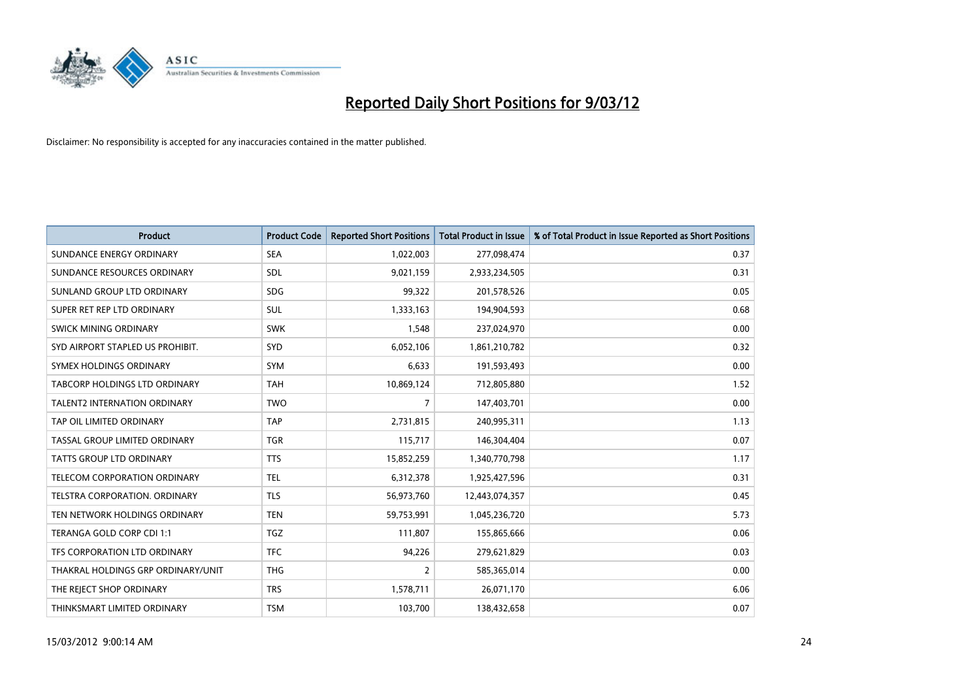

| <b>Product</b>                      | <b>Product Code</b> | <b>Reported Short Positions</b> | <b>Total Product in Issue</b> | % of Total Product in Issue Reported as Short Positions |
|-------------------------------------|---------------------|---------------------------------|-------------------------------|---------------------------------------------------------|
| SUNDANCE ENERGY ORDINARY            | <b>SEA</b>          | 1,022,003                       | 277,098,474                   | 0.37                                                    |
| SUNDANCE RESOURCES ORDINARY         | <b>SDL</b>          | 9,021,159                       | 2,933,234,505                 | 0.31                                                    |
| SUNLAND GROUP LTD ORDINARY          | <b>SDG</b>          | 99,322                          | 201,578,526                   | 0.05                                                    |
| SUPER RET REP LTD ORDINARY          | SUL                 | 1,333,163                       | 194,904,593                   | 0.68                                                    |
| SWICK MINING ORDINARY               | <b>SWK</b>          | 1,548                           | 237,024,970                   | 0.00                                                    |
| SYD AIRPORT STAPLED US PROHIBIT.    | <b>SYD</b>          | 6,052,106                       | 1,861,210,782                 | 0.32                                                    |
| SYMEX HOLDINGS ORDINARY             | <b>SYM</b>          | 6,633                           | 191,593,493                   | 0.00                                                    |
| TABCORP HOLDINGS LTD ORDINARY       | <b>TAH</b>          | 10,869,124                      | 712,805,880                   | 1.52                                                    |
| <b>TALENT2 INTERNATION ORDINARY</b> | <b>TWO</b>          | 7                               | 147,403,701                   | 0.00                                                    |
| TAP OIL LIMITED ORDINARY            | <b>TAP</b>          | 2,731,815                       | 240,995,311                   | 1.13                                                    |
| TASSAL GROUP LIMITED ORDINARY       | <b>TGR</b>          | 115,717                         | 146,304,404                   | 0.07                                                    |
| <b>TATTS GROUP LTD ORDINARY</b>     | <b>TTS</b>          | 15,852,259                      | 1,340,770,798                 | 1.17                                                    |
| TELECOM CORPORATION ORDINARY        | <b>TEL</b>          | 6,312,378                       | 1,925,427,596                 | 0.31                                                    |
| TELSTRA CORPORATION, ORDINARY       | <b>TLS</b>          | 56,973,760                      | 12,443,074,357                | 0.45                                                    |
| TEN NETWORK HOLDINGS ORDINARY       | <b>TEN</b>          | 59,753,991                      | 1,045,236,720                 | 5.73                                                    |
| TERANGA GOLD CORP CDI 1:1           | <b>TGZ</b>          | 111,807                         | 155,865,666                   | 0.06                                                    |
| TFS CORPORATION LTD ORDINARY        | <b>TFC</b>          | 94,226                          | 279,621,829                   | 0.03                                                    |
| THAKRAL HOLDINGS GRP ORDINARY/UNIT  | <b>THG</b>          | $\overline{2}$                  | 585,365,014                   | 0.00                                                    |
| THE REJECT SHOP ORDINARY            | <b>TRS</b>          | 1,578,711                       | 26,071,170                    | 6.06                                                    |
| THINKSMART LIMITED ORDINARY         | <b>TSM</b>          | 103,700                         | 138,432,658                   | 0.07                                                    |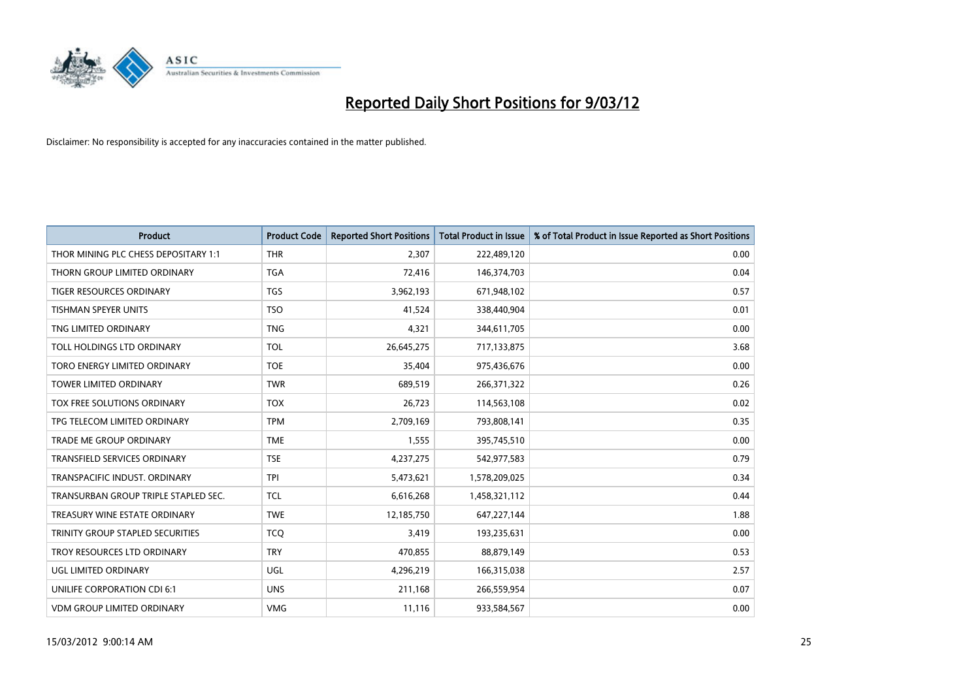

| <b>Product</b>                       | <b>Product Code</b> | <b>Reported Short Positions</b> | <b>Total Product in Issue</b> | % of Total Product in Issue Reported as Short Positions |
|--------------------------------------|---------------------|---------------------------------|-------------------------------|---------------------------------------------------------|
| THOR MINING PLC CHESS DEPOSITARY 1:1 | <b>THR</b>          | 2,307                           | 222,489,120                   | 0.00                                                    |
| THORN GROUP LIMITED ORDINARY         | TGA                 | 72,416                          | 146,374,703                   | 0.04                                                    |
| <b>TIGER RESOURCES ORDINARY</b>      | <b>TGS</b>          | 3,962,193                       | 671,948,102                   | 0.57                                                    |
| TISHMAN SPEYER UNITS                 | <b>TSO</b>          | 41,524                          | 338,440,904                   | 0.01                                                    |
| TNG LIMITED ORDINARY                 | <b>TNG</b>          | 4,321                           | 344,611,705                   | 0.00                                                    |
| TOLL HOLDINGS LTD ORDINARY           | <b>TOL</b>          | 26,645,275                      | 717,133,875                   | 3.68                                                    |
| TORO ENERGY LIMITED ORDINARY         | <b>TOE</b>          | 35,404                          | 975,436,676                   | 0.00                                                    |
| TOWER LIMITED ORDINARY               | <b>TWR</b>          | 689,519                         | 266,371,322                   | 0.26                                                    |
| TOX FREE SOLUTIONS ORDINARY          | <b>TOX</b>          | 26,723                          | 114,563,108                   | 0.02                                                    |
| TPG TELECOM LIMITED ORDINARY         | <b>TPM</b>          | 2,709,169                       | 793,808,141                   | 0.35                                                    |
| TRADE ME GROUP ORDINARY              | <b>TME</b>          | 1,555                           | 395,745,510                   | 0.00                                                    |
| <b>TRANSFIELD SERVICES ORDINARY</b>  | <b>TSE</b>          | 4,237,275                       | 542,977,583                   | 0.79                                                    |
| TRANSPACIFIC INDUST. ORDINARY        | <b>TPI</b>          | 5,473,621                       | 1,578,209,025                 | 0.34                                                    |
| TRANSURBAN GROUP TRIPLE STAPLED SEC. | <b>TCL</b>          | 6,616,268                       | 1,458,321,112                 | 0.44                                                    |
| TREASURY WINE ESTATE ORDINARY        | <b>TWE</b>          | 12,185,750                      | 647,227,144                   | 1.88                                                    |
| TRINITY GROUP STAPLED SECURITIES     | <b>TCO</b>          | 3,419                           | 193,235,631                   | 0.00                                                    |
| TROY RESOURCES LTD ORDINARY          | <b>TRY</b>          | 470,855                         | 88,879,149                    | 0.53                                                    |
| UGL LIMITED ORDINARY                 | UGL                 | 4,296,219                       | 166,315,038                   | 2.57                                                    |
| UNILIFE CORPORATION CDI 6:1          | <b>UNS</b>          | 211,168                         | 266,559,954                   | 0.07                                                    |
| VDM GROUP LIMITED ORDINARY           | <b>VMG</b>          | 11,116                          | 933,584,567                   | 0.00                                                    |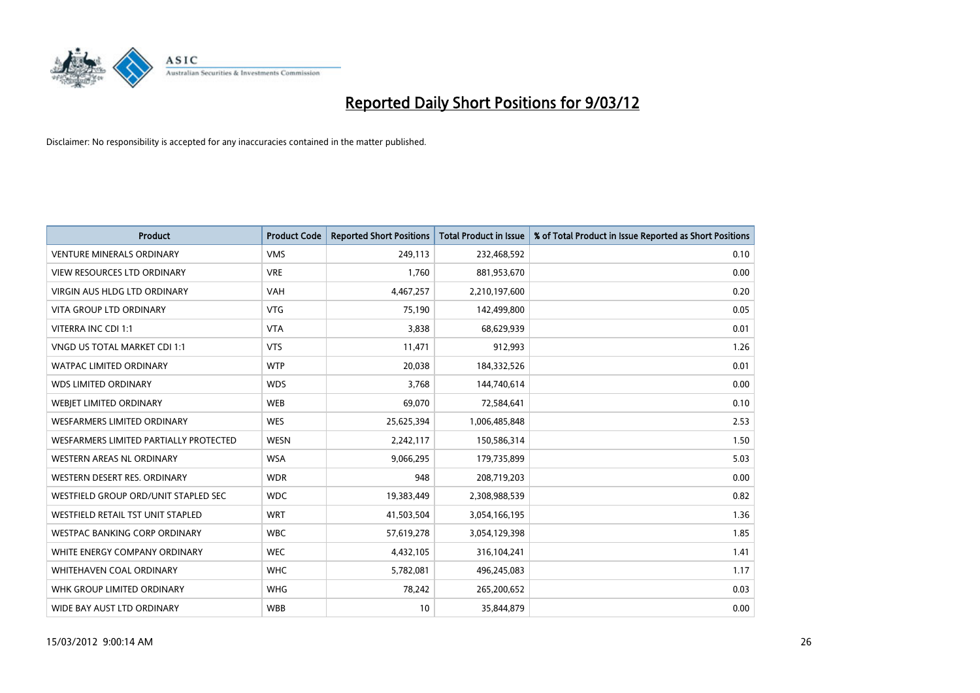

| <b>Product</b>                         | <b>Product Code</b> | <b>Reported Short Positions</b> | <b>Total Product in Issue</b> | % of Total Product in Issue Reported as Short Positions |
|----------------------------------------|---------------------|---------------------------------|-------------------------------|---------------------------------------------------------|
| <b>VENTURE MINERALS ORDINARY</b>       | <b>VMS</b>          | 249,113                         | 232,468,592                   | 0.10                                                    |
| <b>VIEW RESOURCES LTD ORDINARY</b>     | <b>VRE</b>          | 1,760                           | 881,953,670                   | 0.00                                                    |
| <b>VIRGIN AUS HLDG LTD ORDINARY</b>    | <b>VAH</b>          | 4,467,257                       | 2,210,197,600                 | 0.20                                                    |
| VITA GROUP LTD ORDINARY                | <b>VTG</b>          | 75,190                          | 142,499,800                   | 0.05                                                    |
| VITERRA INC CDI 1:1                    | <b>VTA</b>          | 3,838                           | 68,629,939                    | 0.01                                                    |
| <b>VNGD US TOTAL MARKET CDI 1:1</b>    | <b>VTS</b>          | 11,471                          | 912,993                       | 1.26                                                    |
| <b>WATPAC LIMITED ORDINARY</b>         | <b>WTP</b>          | 20,038                          | 184,332,526                   | 0.01                                                    |
| <b>WDS LIMITED ORDINARY</b>            | <b>WDS</b>          | 3,768                           | 144,740,614                   | 0.00                                                    |
| <b>WEBIET LIMITED ORDINARY</b>         | <b>WEB</b>          | 69,070                          | 72,584,641                    | 0.10                                                    |
| <b>WESFARMERS LIMITED ORDINARY</b>     | <b>WES</b>          | 25,625,394                      | 1,006,485,848                 | 2.53                                                    |
| WESFARMERS LIMITED PARTIALLY PROTECTED | <b>WESN</b>         | 2,242,117                       | 150,586,314                   | 1.50                                                    |
| WESTERN AREAS NL ORDINARY              | <b>WSA</b>          | 9,066,295                       | 179,735,899                   | 5.03                                                    |
| WESTERN DESERT RES. ORDINARY           | <b>WDR</b>          | 948                             | 208,719,203                   | 0.00                                                    |
| WESTFIELD GROUP ORD/UNIT STAPLED SEC   | <b>WDC</b>          | 19,383,449                      | 2,308,988,539                 | 0.82                                                    |
| WESTFIELD RETAIL TST UNIT STAPLED      | <b>WRT</b>          | 41,503,504                      | 3,054,166,195                 | 1.36                                                    |
| WESTPAC BANKING CORP ORDINARY          | <b>WBC</b>          | 57,619,278                      | 3,054,129,398                 | 1.85                                                    |
| WHITE ENERGY COMPANY ORDINARY          | <b>WEC</b>          | 4,432,105                       | 316,104,241                   | 1.41                                                    |
| <b>WHITEHAVEN COAL ORDINARY</b>        | <b>WHC</b>          | 5,782,081                       | 496,245,083                   | 1.17                                                    |
| WHK GROUP LIMITED ORDINARY             | <b>WHG</b>          | 78,242                          | 265,200,652                   | 0.03                                                    |
| WIDE BAY AUST LTD ORDINARY             | <b>WBB</b>          | 10                              | 35,844,879                    | 0.00                                                    |